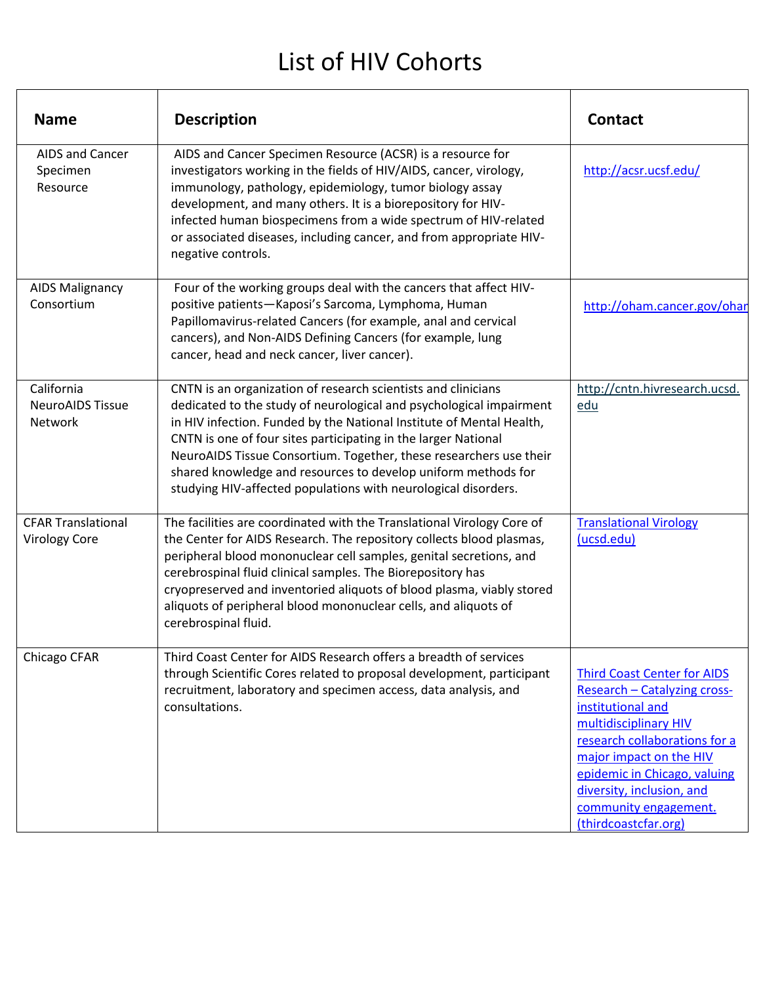| <b>Name</b>                                       | <b>Description</b>                                                                                                                                                                                                                                                                                                                                                                                                                                                                      | <b>Contact</b>                                                                                                                                                                                                                                                                                    |
|---------------------------------------------------|-----------------------------------------------------------------------------------------------------------------------------------------------------------------------------------------------------------------------------------------------------------------------------------------------------------------------------------------------------------------------------------------------------------------------------------------------------------------------------------------|---------------------------------------------------------------------------------------------------------------------------------------------------------------------------------------------------------------------------------------------------------------------------------------------------|
| AIDS and Cancer<br>Specimen<br>Resource           | AIDS and Cancer Specimen Resource (ACSR) is a resource for<br>investigators working in the fields of HIV/AIDS, cancer, virology,<br>immunology, pathology, epidemiology, tumor biology assay<br>development, and many others. It is a biorepository for HIV-<br>infected human biospecimens from a wide spectrum of HIV-related<br>or associated diseases, including cancer, and from appropriate HIV-<br>negative controls.                                                            | http://acsr.ucsf.edu/                                                                                                                                                                                                                                                                             |
| <b>AIDS Malignancy</b><br>Consortium              | Four of the working groups deal with the cancers that affect HIV-<br>positive patients-Kaposi's Sarcoma, Lymphoma, Human<br>Papillomavirus-related Cancers (for example, anal and cervical<br>cancers), and Non-AIDS Defining Cancers (for example, lung<br>cancer, head and neck cancer, liver cancer).                                                                                                                                                                                | http://oham.cancer.gov/ohar                                                                                                                                                                                                                                                                       |
| California<br><b>NeuroAIDS Tissue</b><br>Network  | CNTN is an organization of research scientists and clinicians<br>dedicated to the study of neurological and psychological impairment<br>in HIV infection. Funded by the National Institute of Mental Health,<br>CNTN is one of four sites participating in the larger National<br>NeuroAIDS Tissue Consortium. Together, these researchers use their<br>shared knowledge and resources to develop uniform methods for<br>studying HIV-affected populations with neurological disorders. | http://cntn.hivresearch.ucsd.<br>edu                                                                                                                                                                                                                                                              |
| <b>CFAR Translational</b><br><b>Virology Core</b> | The facilities are coordinated with the Translational Virology Core of<br>the Center for AIDS Research. The repository collects blood plasmas,<br>peripheral blood mononuclear cell samples, genital secretions, and<br>cerebrospinal fluid clinical samples. The Biorepository has<br>cryopreserved and inventoried aliquots of blood plasma, viably stored<br>aliquots of peripheral blood mononuclear cells, and aliquots of<br>cerebrospinal fluid.                                 | <b>Translational Virology</b><br>(ucsd.edu)                                                                                                                                                                                                                                                       |
| Chicago CFAR                                      | Third Coast Center for AIDS Research offers a breadth of services<br>through Scientific Cores related to proposal development, participant<br>recruitment, laboratory and specimen access, data analysis, and<br>consultations.                                                                                                                                                                                                                                                         | <b>Third Coast Center for AIDS</b><br><b>Research - Catalyzing cross-</b><br>institutional and<br>multidisciplinary HIV<br>research collaborations for a<br>major impact on the HIV<br>epidemic in Chicago, valuing<br>diversity, inclusion, and<br>community engagement.<br>(thirdcoastcfar.org) |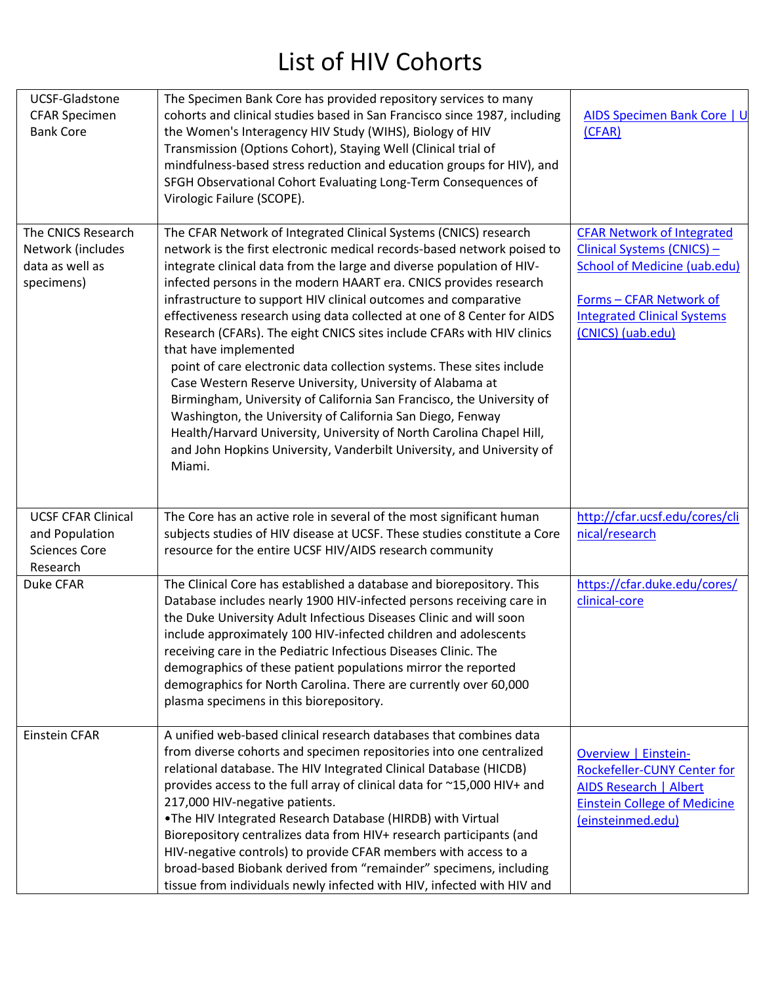| UCSF-Gladstone<br><b>CFAR Specimen</b><br><b>Bank Core</b>                      | The Specimen Bank Core has provided repository services to many<br>cohorts and clinical studies based in San Francisco since 1987, including<br>the Women's Interagency HIV Study (WIHS), Biology of HIV<br>Transmission (Options Cohort), Staying Well (Clinical trial of<br>mindfulness-based stress reduction and education groups for HIV), and<br>SFGH Observational Cohort Evaluating Long-Term Consequences of<br>Virologic Failure (SCOPE).                                                                                                                                                                                                                                                                                                                                                                                                                                                                                                                                | <b>AIDS Specimen Bank Core   U</b><br>(CFAR)                                                                                                                                                 |
|---------------------------------------------------------------------------------|------------------------------------------------------------------------------------------------------------------------------------------------------------------------------------------------------------------------------------------------------------------------------------------------------------------------------------------------------------------------------------------------------------------------------------------------------------------------------------------------------------------------------------------------------------------------------------------------------------------------------------------------------------------------------------------------------------------------------------------------------------------------------------------------------------------------------------------------------------------------------------------------------------------------------------------------------------------------------------|----------------------------------------------------------------------------------------------------------------------------------------------------------------------------------------------|
| The CNICS Research<br>Network (includes<br>data as well as<br>specimens)        | The CFAR Network of Integrated Clinical Systems (CNICS) research<br>network is the first electronic medical records-based network poised to<br>integrate clinical data from the large and diverse population of HIV-<br>infected persons in the modern HAART era. CNICS provides research<br>infrastructure to support HIV clinical outcomes and comparative<br>effectiveness research using data collected at one of 8 Center for AIDS<br>Research (CFARs). The eight CNICS sites include CFARs with HIV clinics<br>that have implemented<br>point of care electronic data collection systems. These sites include<br>Case Western Reserve University, University of Alabama at<br>Birmingham, University of California San Francisco, the University of<br>Washington, the University of California San Diego, Fenway<br>Health/Harvard University, University of North Carolina Chapel Hill,<br>and John Hopkins University, Vanderbilt University, and University of<br>Miami. | <b>CFAR Network of Integrated</b><br>Clinical Systems (CNICS) -<br><b>School of Medicine (uab.edu)</b><br>Forms - CFAR Network of<br><b>Integrated Clinical Systems</b><br>(CNICS) (uab.edu) |
| <b>UCSF CFAR Clinical</b><br>and Population<br><b>Sciences Core</b><br>Research | The Core has an active role in several of the most significant human<br>subjects studies of HIV disease at UCSF. These studies constitute a Core<br>resource for the entire UCSF HIV/AIDS research community                                                                                                                                                                                                                                                                                                                                                                                                                                                                                                                                                                                                                                                                                                                                                                       | http://cfar.ucsf.edu/cores/cli<br>nical/research                                                                                                                                             |
| Duke CFAR                                                                       | The Clinical Core has established a database and biorepository. This<br>Database includes nearly 1900 HIV-infected persons receiving care in<br>the Duke University Adult Infectious Diseases Clinic and will soon<br>include approximately 100 HIV-infected children and adolescents<br>receiving care in the Pediatric Infectious Diseases Clinic. The<br>demographics of these patient populations mirror the reported<br>demographics for North Carolina. There are currently over 60,000<br>plasma specimens in this biorepository.                                                                                                                                                                                                                                                                                                                                                                                                                                           | https://cfar.duke.edu/cores/<br>clinical-core                                                                                                                                                |
| Einstein CFAR                                                                   | A unified web-based clinical research databases that combines data<br>from diverse cohorts and specimen repositories into one centralized<br>relational database. The HIV Integrated Clinical Database (HICDB)<br>provides access to the full array of clinical data for ~15,000 HIV+ and<br>217,000 HIV-negative patients.<br>.The HIV Integrated Research Database (HIRDB) with Virtual<br>Biorepository centralizes data from HIV+ research participants (and<br>HIV-negative controls) to provide CFAR members with access to a<br>broad-based Biobank derived from "remainder" specimens, including<br>tissue from individuals newly infected with HIV, infected with HIV and                                                                                                                                                                                                                                                                                                 | <b>Overview   Einstein-</b><br><b>Rockefeller-CUNY Center for</b><br>AIDS Research   Albert<br><b>Einstein College of Medicine</b><br>(einsteinmed.edu)                                      |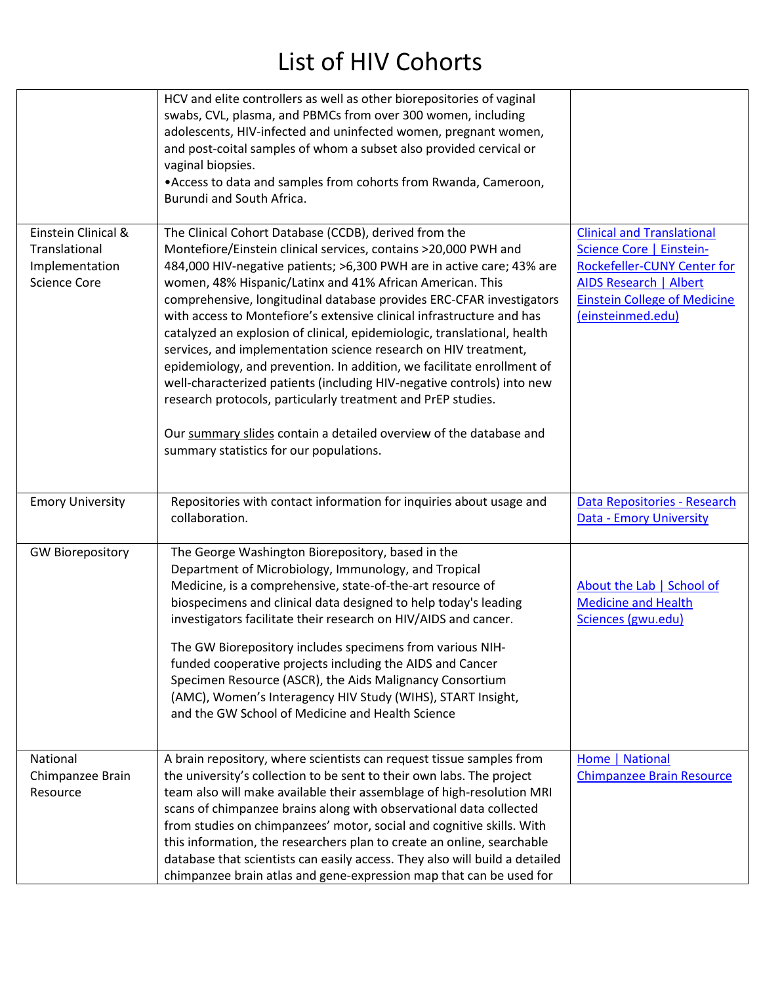|                                                                               | HCV and elite controllers as well as other biorepositories of vaginal<br>swabs, CVL, plasma, and PBMCs from over 300 women, including<br>adolescents, HIV-infected and uninfected women, pregnant women,<br>and post-coital samples of whom a subset also provided cervical or<br>vaginal biopsies.<br>• Access to data and samples from cohorts from Rwanda, Cameroon,<br>Burundi and South Africa.                                                                                                                                                                                                                                                                                                                                                                                                                                                                                                |                                                                                                                                                                                    |
|-------------------------------------------------------------------------------|-----------------------------------------------------------------------------------------------------------------------------------------------------------------------------------------------------------------------------------------------------------------------------------------------------------------------------------------------------------------------------------------------------------------------------------------------------------------------------------------------------------------------------------------------------------------------------------------------------------------------------------------------------------------------------------------------------------------------------------------------------------------------------------------------------------------------------------------------------------------------------------------------------|------------------------------------------------------------------------------------------------------------------------------------------------------------------------------------|
| Einstein Clinical &<br>Translational<br>Implementation<br><b>Science Core</b> | The Clinical Cohort Database (CCDB), derived from the<br>Montefiore/Einstein clinical services, contains >20,000 PWH and<br>484,000 HIV-negative patients; >6,300 PWH are in active care; 43% are<br>women, 48% Hispanic/Latinx and 41% African American. This<br>comprehensive, longitudinal database provides ERC-CFAR investigators<br>with access to Montefiore's extensive clinical infrastructure and has<br>catalyzed an explosion of clinical, epidemiologic, translational, health<br>services, and implementation science research on HIV treatment,<br>epidemiology, and prevention. In addition, we facilitate enrollment of<br>well-characterized patients (including HIV-negative controls) into new<br>research protocols, particularly treatment and PrEP studies.<br>Our summary slides contain a detailed overview of the database and<br>summary statistics for our populations. | <b>Clinical and Translational</b><br>Science Core   Einstein-<br>Rockefeller-CUNY Center for<br>AIDS Research   Albert<br><b>Einstein College of Medicine</b><br>(einsteinmed.edu) |
| <b>Emory University</b>                                                       | Repositories with contact information for inquiries about usage and<br>collaboration.                                                                                                                                                                                                                                                                                                                                                                                                                                                                                                                                                                                                                                                                                                                                                                                                               | Data Repositories - Research<br>Data - Emory University                                                                                                                            |
| <b>GW Biorepository</b>                                                       | The George Washington Biorepository, based in the<br>Department of Microbiology, Immunology, and Tropical<br>Medicine, is a comprehensive, state-of-the-art resource of<br>biospecimens and clinical data designed to help today's leading<br>investigators facilitate their research on HIV/AIDS and cancer.<br>The GW Biorepository includes specimens from various NIH-<br>funded cooperative projects including the AIDS and Cancer<br>Specimen Resource (ASCR), the Aids Malignancy Consortium<br>(AMC), Women's Interagency HIV Study (WIHS), START Insight,<br>and the GW School of Medicine and Health Science                                                                                                                                                                                                                                                                              | About the Lab   School of<br><b>Medicine and Health</b><br>Sciences (gwu.edu)                                                                                                      |
| National<br>Chimpanzee Brain<br>Resource                                      | A brain repository, where scientists can request tissue samples from<br>the university's collection to be sent to their own labs. The project<br>team also will make available their assemblage of high-resolution MRI<br>scans of chimpanzee brains along with observational data collected<br>from studies on chimpanzees' motor, social and cognitive skills. With<br>this information, the researchers plan to create an online, searchable<br>database that scientists can easily access. They also will build a detailed<br>chimpanzee brain atlas and gene-expression map that can be used for                                                                                                                                                                                                                                                                                               | Home   National<br><b>Chimpanzee Brain Resource</b>                                                                                                                                |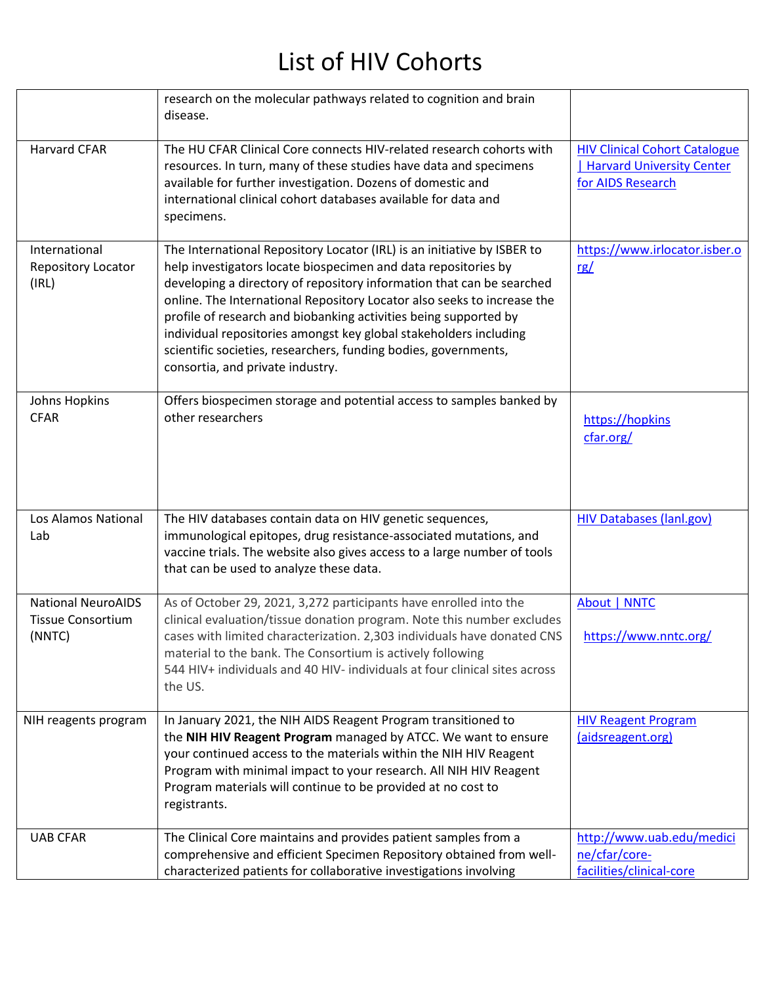|                                                                 | research on the molecular pathways related to cognition and brain<br>disease.                                                                                                                                                                                                                                                                                                                                                                                                                                                                 |                                                                                               |
|-----------------------------------------------------------------|-----------------------------------------------------------------------------------------------------------------------------------------------------------------------------------------------------------------------------------------------------------------------------------------------------------------------------------------------------------------------------------------------------------------------------------------------------------------------------------------------------------------------------------------------|-----------------------------------------------------------------------------------------------|
| <b>Harvard CFAR</b>                                             | The HU CFAR Clinical Core connects HIV-related research cohorts with<br>resources. In turn, many of these studies have data and specimens<br>available for further investigation. Dozens of domestic and<br>international clinical cohort databases available for data and<br>specimens.                                                                                                                                                                                                                                                      | <b>HIV Clinical Cohort Catalogue</b><br><b>Harvard University Center</b><br>for AIDS Research |
| International<br>Repository Locator<br>(IRL)                    | The International Repository Locator (IRL) is an initiative by ISBER to<br>help investigators locate biospecimen and data repositories by<br>developing a directory of repository information that can be searched<br>online. The International Repository Locator also seeks to increase the<br>profile of research and biobanking activities being supported by<br>individual repositories amongst key global stakeholders including<br>scientific societies, researchers, funding bodies, governments,<br>consortia, and private industry. | https://www.irlocator.isber.o<br><u>rg/</u>                                                   |
| Johns Hopkins<br><b>CFAR</b>                                    | Offers biospecimen storage and potential access to samples banked by<br>other researchers                                                                                                                                                                                                                                                                                                                                                                                                                                                     | https://hopkins<br>cfar.org/                                                                  |
| Los Alamos National<br>Lab                                      | The HIV databases contain data on HIV genetic sequences,<br>immunological epitopes, drug resistance-associated mutations, and<br>vaccine trials. The website also gives access to a large number of tools<br>that can be used to analyze these data.                                                                                                                                                                                                                                                                                          | <b>HIV Databases (lanl.gov)</b>                                                               |
| <b>National NeuroAIDS</b><br><b>Tissue Consortium</b><br>(NNTC) | As of October 29, 2021, 3,272 participants have enrolled into the<br>clinical evaluation/tissue donation program. Note this number excludes<br>cases with limited characterization. 2,303 individuals have donated CNS<br>material to the bank. The Consortium is actively following<br>544 HIV+ individuals and 40 HIV- individuals at four clinical sites across<br>the US.                                                                                                                                                                 | About   NNTC<br>https://www.nntc.org/                                                         |
| NIH reagents program                                            | In January 2021, the NIH AIDS Reagent Program transitioned to<br>the NIH HIV Reagent Program managed by ATCC. We want to ensure<br>your continued access to the materials within the NIH HIV Reagent<br>Program with minimal impact to your research. All NIH HIV Reagent<br>Program materials will continue to be provided at no cost to<br>registrants.                                                                                                                                                                                     | <b>HIV Reagent Program</b><br>(aidsreagent.org)                                               |
| <b>UAB CFAR</b>                                                 | The Clinical Core maintains and provides patient samples from a<br>comprehensive and efficient Specimen Repository obtained from well-<br>characterized patients for collaborative investigations involving                                                                                                                                                                                                                                                                                                                                   | http://www.uab.edu/medici<br>ne/cfar/core-<br>facilities/clinical-core                        |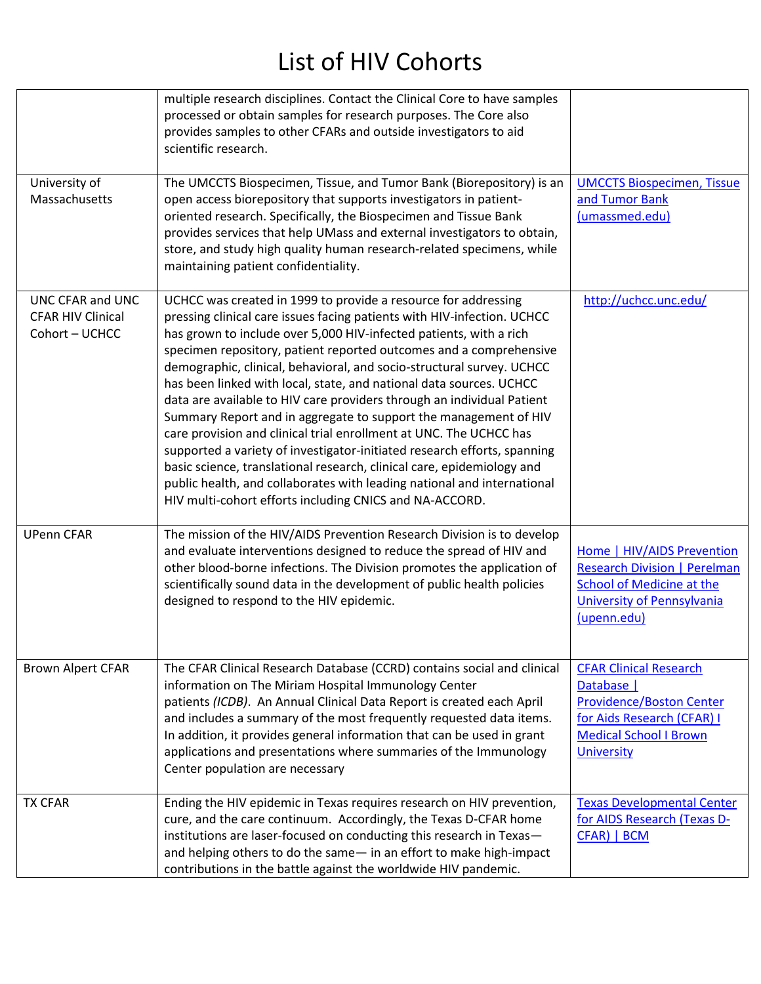|                                                                | multiple research disciplines. Contact the Clinical Core to have samples<br>processed or obtain samples for research purposes. The Core also<br>provides samples to other CFARs and outside investigators to aid<br>scientific research.                                                                                                                                                                                                                                                                                                                                                                                                                                                                                                                                                                                                                                                                                                              |                                                                                                                                                             |
|----------------------------------------------------------------|-------------------------------------------------------------------------------------------------------------------------------------------------------------------------------------------------------------------------------------------------------------------------------------------------------------------------------------------------------------------------------------------------------------------------------------------------------------------------------------------------------------------------------------------------------------------------------------------------------------------------------------------------------------------------------------------------------------------------------------------------------------------------------------------------------------------------------------------------------------------------------------------------------------------------------------------------------|-------------------------------------------------------------------------------------------------------------------------------------------------------------|
| University of<br>Massachusetts                                 | The UMCCTS Biospecimen, Tissue, and Tumor Bank (Biorepository) is an<br>open access biorepository that supports investigators in patient-<br>oriented research. Specifically, the Biospecimen and Tissue Bank<br>provides services that help UMass and external investigators to obtain,<br>store, and study high quality human research-related specimens, while<br>maintaining patient confidentiality.                                                                                                                                                                                                                                                                                                                                                                                                                                                                                                                                             | <b>UMCCTS Biospecimen, Tissue</b><br>and Tumor Bank<br>(umassmed.edu)                                                                                       |
| UNC CFAR and UNC<br><b>CFAR HIV Clinical</b><br>Cohort - UCHCC | UCHCC was created in 1999 to provide a resource for addressing<br>pressing clinical care issues facing patients with HIV-infection. UCHCC<br>has grown to include over 5,000 HIV-infected patients, with a rich<br>specimen repository, patient reported outcomes and a comprehensive<br>demographic, clinical, behavioral, and socio-structural survey. UCHCC<br>has been linked with local, state, and national data sources. UCHCC<br>data are available to HIV care providers through an individual Patient<br>Summary Report and in aggregate to support the management of HIV<br>care provision and clinical trial enrollment at UNC. The UCHCC has<br>supported a variety of investigator-initiated research efforts, spanning<br>basic science, translational research, clinical care, epidemiology and<br>public health, and collaborates with leading national and international<br>HIV multi-cohort efforts including CNICS and NA-ACCORD. | http://uchcc.unc.edu/                                                                                                                                       |
| <b>UPenn CFAR</b>                                              | The mission of the HIV/AIDS Prevention Research Division is to develop<br>and evaluate interventions designed to reduce the spread of HIV and<br>other blood-borne infections. The Division promotes the application of<br>scientifically sound data in the development of public health policies<br>designed to respond to the HIV epidemic.                                                                                                                                                                                                                                                                                                                                                                                                                                                                                                                                                                                                         | Home   HIV/AIDS Prevention<br><b>Research Division   Perelman</b><br><b>School of Medicine at the</b><br><b>University of Pennsylvania</b><br>(upenn.edu)   |
| <b>Brown Alpert CFAR</b>                                       | The CFAR Clinical Research Database (CCRD) contains social and clinical<br>information on The Miriam Hospital Immunology Center<br>patients (ICDB). An Annual Clinical Data Report is created each April<br>and includes a summary of the most frequently requested data items.<br>In addition, it provides general information that can be used in grant<br>applications and presentations where summaries of the Immunology<br>Center population are necessary                                                                                                                                                                                                                                                                                                                                                                                                                                                                                      | <b>CFAR Clinical Research</b><br>Database  <br>Providence/Boston Center<br>for Aids Research (CFAR) I<br><b>Medical School I Brown</b><br><b>University</b> |
| <b>TX CFAR</b>                                                 | Ending the HIV epidemic in Texas requires research on HIV prevention,<br>cure, and the care continuum. Accordingly, the Texas D-CFAR home<br>institutions are laser-focused on conducting this research in Texas-<br>and helping others to do the same - in an effort to make high-impact<br>contributions in the battle against the worldwide HIV pandemic.                                                                                                                                                                                                                                                                                                                                                                                                                                                                                                                                                                                          | <b>Texas Developmental Center</b><br>for AIDS Research (Texas D-<br>CFAR)   BCM                                                                             |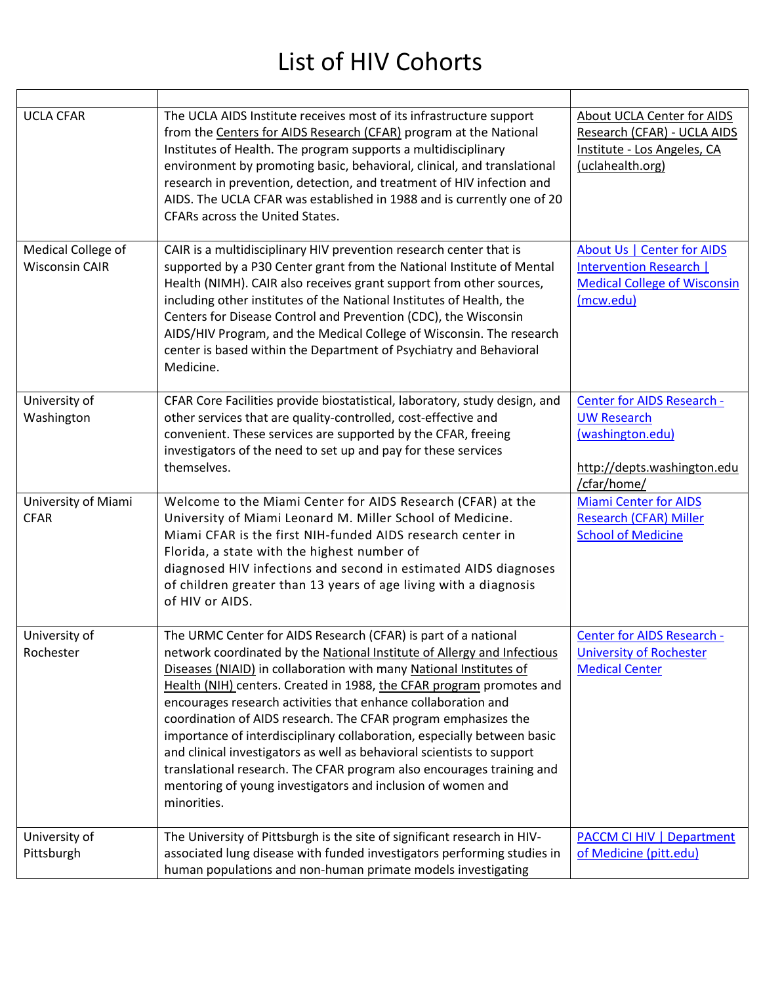| <b>UCLA CFAR</b>                            | The UCLA AIDS Institute receives most of its infrastructure support<br>from the Centers for AIDS Research (CFAR) program at the National<br>Institutes of Health. The program supports a multidisciplinary<br>environment by promoting basic, behavioral, clinical, and translational<br>research in prevention, detection, and treatment of HIV infection and<br>AIDS. The UCLA CFAR was established in 1988 and is currently one of 20<br><b>CFARs across the United States.</b>                                                                                                                                                                                                                                                     | <b>About UCLA Center for AIDS</b><br>Research (CFAR) - UCLA AIDS<br>Institute - Los Angeles, CA<br>(uclahealth.org)       |
|---------------------------------------------|----------------------------------------------------------------------------------------------------------------------------------------------------------------------------------------------------------------------------------------------------------------------------------------------------------------------------------------------------------------------------------------------------------------------------------------------------------------------------------------------------------------------------------------------------------------------------------------------------------------------------------------------------------------------------------------------------------------------------------------|---------------------------------------------------------------------------------------------------------------------------|
| Medical College of<br><b>Wisconsin CAIR</b> | CAIR is a multidisciplinary HIV prevention research center that is<br>supported by a P30 Center grant from the National Institute of Mental<br>Health (NIMH). CAIR also receives grant support from other sources,<br>including other institutes of the National Institutes of Health, the<br>Centers for Disease Control and Prevention (CDC), the Wisconsin<br>AIDS/HIV Program, and the Medical College of Wisconsin. The research<br>center is based within the Department of Psychiatry and Behavioral<br>Medicine.                                                                                                                                                                                                               | About Us   Center for AIDS<br><b>Intervention Research  </b><br><b>Medical College of Wisconsin</b><br>(mcw.edu)          |
| University of<br>Washington                 | CFAR Core Facilities provide biostatistical, laboratory, study design, and<br>other services that are quality-controlled, cost-effective and<br>convenient. These services are supported by the CFAR, freeing<br>investigators of the need to set up and pay for these services<br>themselves.                                                                                                                                                                                                                                                                                                                                                                                                                                         | <b>Center for AIDS Research -</b><br><b>UW Research</b><br>(washington.edu)<br>http://depts.washington.edu<br>/cfar/home/ |
| University of Miami<br><b>CFAR</b>          | Welcome to the Miami Center for AIDS Research (CFAR) at the<br>University of Miami Leonard M. Miller School of Medicine.<br>Miami CFAR is the first NIH-funded AIDS research center in<br>Florida, a state with the highest number of<br>diagnosed HIV infections and second in estimated AIDS diagnoses<br>of children greater than 13 years of age living with a diagnosis<br>of HIV or AIDS.                                                                                                                                                                                                                                                                                                                                        | <b>Miami Center for AIDS</b><br><b>Research (CFAR) Miller</b><br><b>School of Medicine</b>                                |
| University of<br>Rochester                  | The URMC Center for AIDS Research (CFAR) is part of a national<br>network coordinated by the National Institute of Allergy and Infectious<br>Diseases (NIAID) in collaboration with many National Institutes of<br>Health (NIH) centers. Created in 1988, the CFAR program promotes and<br>encourages research activities that enhance collaboration and<br>coordination of AIDS research. The CFAR program emphasizes the<br>importance of interdisciplinary collaboration, especially between basic<br>and clinical investigators as well as behavioral scientists to support<br>translational research. The CFAR program also encourages training and<br>mentoring of young investigators and inclusion of women and<br>minorities. | Center for AIDS Research -<br><b>University of Rochester</b><br><b>Medical Center</b>                                     |
| University of<br>Pittsburgh                 | The University of Pittsburgh is the site of significant research in HIV-<br>associated lung disease with funded investigators performing studies in<br>human populations and non-human primate models investigating                                                                                                                                                                                                                                                                                                                                                                                                                                                                                                                    | <b>PACCM CI HIV   Department</b><br>of Medicine (pitt.edu)                                                                |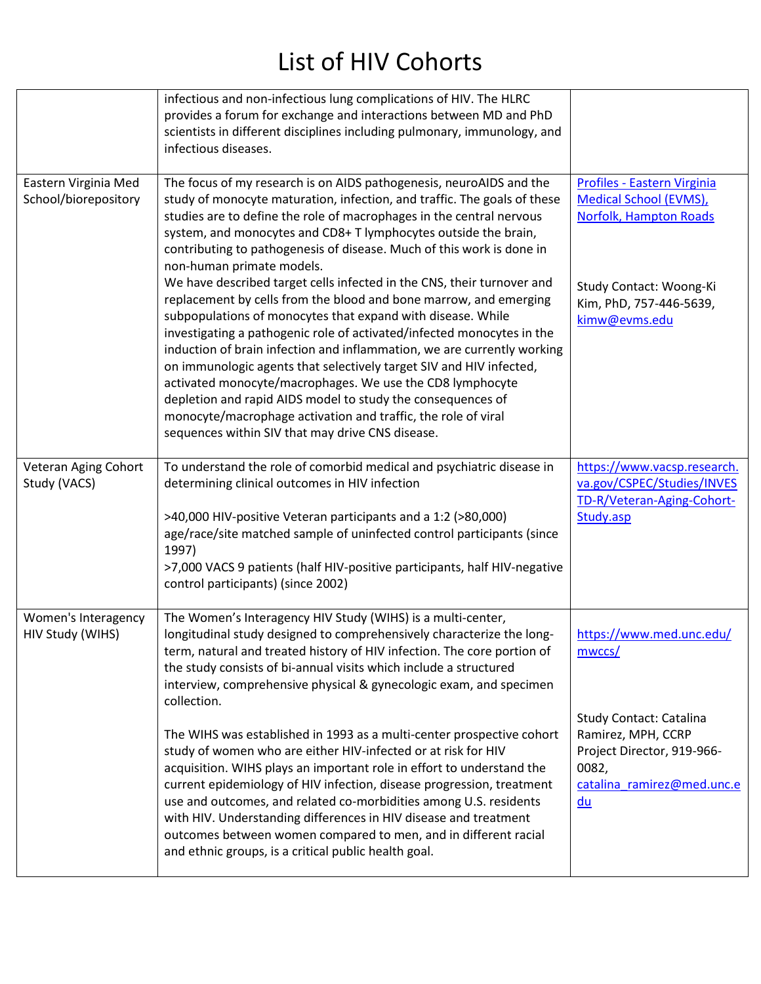|                                              | infectious and non-infectious lung complications of HIV. The HLRC<br>provides a forum for exchange and interactions between MD and PhD<br>scientists in different disciplines including pulmonary, immunology, and<br>infectious diseases.                                                                                                                                                                                                                                                                                                                                                                                                                                              |                                                                                                                          |
|----------------------------------------------|-----------------------------------------------------------------------------------------------------------------------------------------------------------------------------------------------------------------------------------------------------------------------------------------------------------------------------------------------------------------------------------------------------------------------------------------------------------------------------------------------------------------------------------------------------------------------------------------------------------------------------------------------------------------------------------------|--------------------------------------------------------------------------------------------------------------------------|
| Eastern Virginia Med<br>School/biorepository | The focus of my research is on AIDS pathogenesis, neuroAIDS and the<br>study of monocyte maturation, infection, and traffic. The goals of these<br>studies are to define the role of macrophages in the central nervous<br>system, and monocytes and CD8+ T lymphocytes outside the brain,<br>contributing to pathogenesis of disease. Much of this work is done in<br>non-human primate models.                                                                                                                                                                                                                                                                                        | Profiles - Eastern Virginia<br>Medical School (EVMS),<br><b>Norfolk, Hampton Roads</b>                                   |
|                                              | We have described target cells infected in the CNS, their turnover and<br>replacement by cells from the blood and bone marrow, and emerging<br>subpopulations of monocytes that expand with disease. While<br>investigating a pathogenic role of activated/infected monocytes in the<br>induction of brain infection and inflammation, we are currently working<br>on immunologic agents that selectively target SIV and HIV infected,<br>activated monocyte/macrophages. We use the CD8 lymphocyte<br>depletion and rapid AIDS model to study the consequences of<br>monocyte/macrophage activation and traffic, the role of viral<br>sequences within SIV that may drive CNS disease. | Study Contact: Woong-Ki<br>Kim, PhD, 757-446-5639,<br>kimw@evms.edu                                                      |
| Veteran Aging Cohort<br>Study (VACS)         | To understand the role of comorbid medical and psychiatric disease in<br>determining clinical outcomes in HIV infection                                                                                                                                                                                                                                                                                                                                                                                                                                                                                                                                                                 | https://www.vacsp.research.<br>va.gov/CSPEC/Studies/INVES<br>TD-R/Veteran-Aging-Cohort-                                  |
|                                              | >40,000 HIV-positive Veteran participants and a 1:2 (>80,000)<br>age/race/site matched sample of uninfected control participants (since<br>1997)                                                                                                                                                                                                                                                                                                                                                                                                                                                                                                                                        | Study.asp                                                                                                                |
|                                              | >7,000 VACS 9 patients (half HIV-positive participants, half HIV-negative<br>control participants) (since 2002)                                                                                                                                                                                                                                                                                                                                                                                                                                                                                                                                                                         |                                                                                                                          |
| Women's Interagency<br>HIV Study (WIHS)      | The Women's Interagency HIV Study (WIHS) is a multi-center,<br>longitudinal study designed to comprehensively characterize the long-<br>term, natural and treated history of HIV infection. The core portion of<br>the study consists of bi-annual visits which include a structured<br>interview, comprehensive physical & gynecologic exam, and specimen<br>collection.                                                                                                                                                                                                                                                                                                               | https://www.med.unc.edu/<br>mwccs/                                                                                       |
|                                              | The WIHS was established in 1993 as a multi-center prospective cohort<br>study of women who are either HIV-infected or at risk for HIV<br>acquisition. WIHS plays an important role in effort to understand the<br>current epidemiology of HIV infection, disease progression, treatment<br>use and outcomes, and related co-morbidities among U.S. residents<br>with HIV. Understanding differences in HIV disease and treatment<br>outcomes between women compared to men, and in different racial<br>and ethnic groups, is a critical public health goal.                                                                                                                            | Study Contact: Catalina<br>Ramirez, MPH, CCRP<br>Project Director, 919-966-<br>0082,<br>catalina ramirez@med.unc.e<br>du |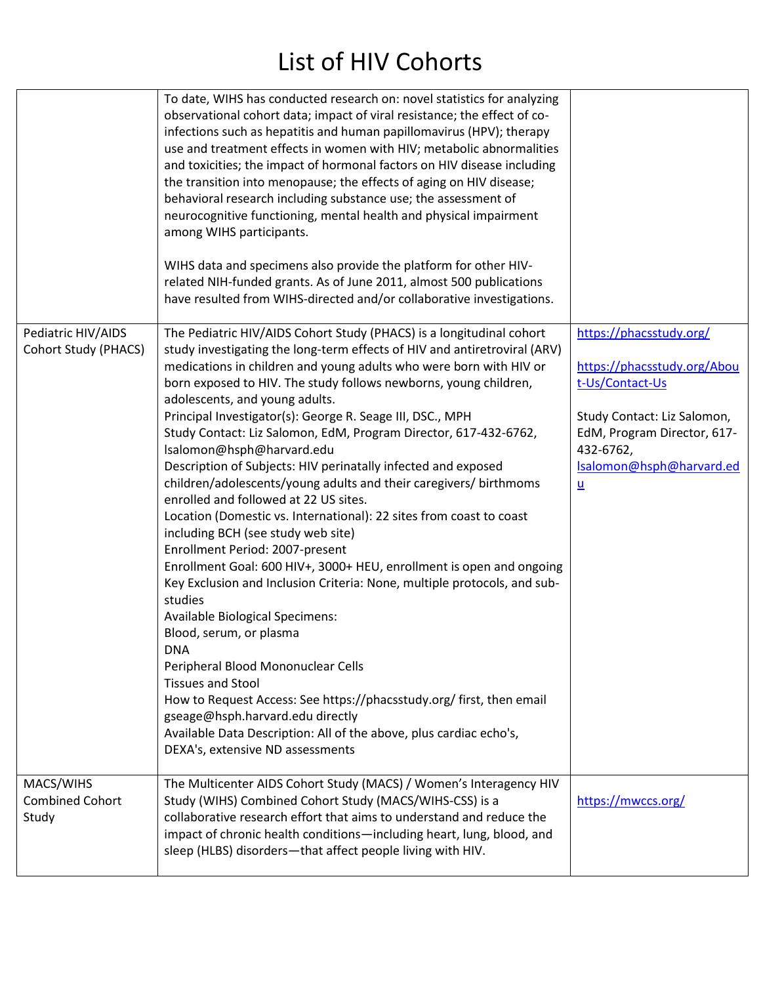|                                              | To date, WIHS has conducted research on: novel statistics for analyzing<br>observational cohort data; impact of viral resistance; the effect of co-<br>infections such as hepatitis and human papillomavirus (HPV); therapy<br>use and treatment effects in women with HIV; metabolic abnormalities<br>and toxicities; the impact of hormonal factors on HIV disease including<br>the transition into menopause; the effects of aging on HIV disease;<br>behavioral research including substance use; the assessment of<br>neurocognitive functioning, mental health and physical impairment<br>among WIHS participants.<br>WIHS data and specimens also provide the platform for other HIV-<br>related NIH-funded grants. As of June 2011, almost 500 publications<br>have resulted from WIHS-directed and/or collaborative investigations.                                                                                                                                                                                                                                                                                                                                                                                                                                                                                                                         |                                                                                                                                                                                                              |
|----------------------------------------------|----------------------------------------------------------------------------------------------------------------------------------------------------------------------------------------------------------------------------------------------------------------------------------------------------------------------------------------------------------------------------------------------------------------------------------------------------------------------------------------------------------------------------------------------------------------------------------------------------------------------------------------------------------------------------------------------------------------------------------------------------------------------------------------------------------------------------------------------------------------------------------------------------------------------------------------------------------------------------------------------------------------------------------------------------------------------------------------------------------------------------------------------------------------------------------------------------------------------------------------------------------------------------------------------------------------------------------------------------------------------|--------------------------------------------------------------------------------------------------------------------------------------------------------------------------------------------------------------|
| Pediatric HIV/AIDS<br>Cohort Study (PHACS)   | The Pediatric HIV/AIDS Cohort Study (PHACS) is a longitudinal cohort<br>study investigating the long-term effects of HIV and antiretroviral (ARV)<br>medications in children and young adults who were born with HIV or<br>born exposed to HIV. The study follows newborns, young children,<br>adolescents, and young adults.<br>Principal Investigator(s): George R. Seage III, DSC., MPH<br>Study Contact: Liz Salomon, EdM, Program Director, 617-432-6762,<br>Isalomon@hsph@harvard.edu<br>Description of Subjects: HIV perinatally infected and exposed<br>children/adolescents/young adults and their caregivers/ birthmoms<br>enrolled and followed at 22 US sites.<br>Location (Domestic vs. International): 22 sites from coast to coast<br>including BCH (see study web site)<br>Enrollment Period: 2007-present<br>Enrollment Goal: 600 HIV+, 3000+ HEU, enrollment is open and ongoing<br>Key Exclusion and Inclusion Criteria: None, multiple protocols, and sub-<br>studies<br><b>Available Biological Specimens:</b><br>Blood, serum, or plasma<br><b>DNA</b><br>Peripheral Blood Mononuclear Cells<br><b>Tissues and Stool</b><br>How to Request Access: See https://phacsstudy.org/ first, then email<br>gseage@hsph.harvard.edu directly<br>Available Data Description: All of the above, plus cardiac echo's,<br>DEXA's, extensive ND assessments | https://phacsstudy.org/<br>https://phacsstudy.org/Abou<br>t-Us/Contact-Us<br>Study Contact: Liz Salomon,<br>EdM, Program Director, 617-<br>432-6762,<br>Isalomon@hsph@harvard.ed<br>$\underline{\mathsf{u}}$ |
| MACS/WIHS<br><b>Combined Cohort</b><br>Study | The Multicenter AIDS Cohort Study (MACS) / Women's Interagency HIV<br>Study (WIHS) Combined Cohort Study (MACS/WIHS-CSS) is a<br>collaborative research effort that aims to understand and reduce the<br>impact of chronic health conditions-including heart, lung, blood, and<br>sleep (HLBS) disorders-that affect people living with HIV.                                                                                                                                                                                                                                                                                                                                                                                                                                                                                                                                                                                                                                                                                                                                                                                                                                                                                                                                                                                                                         | https://mwccs.org/                                                                                                                                                                                           |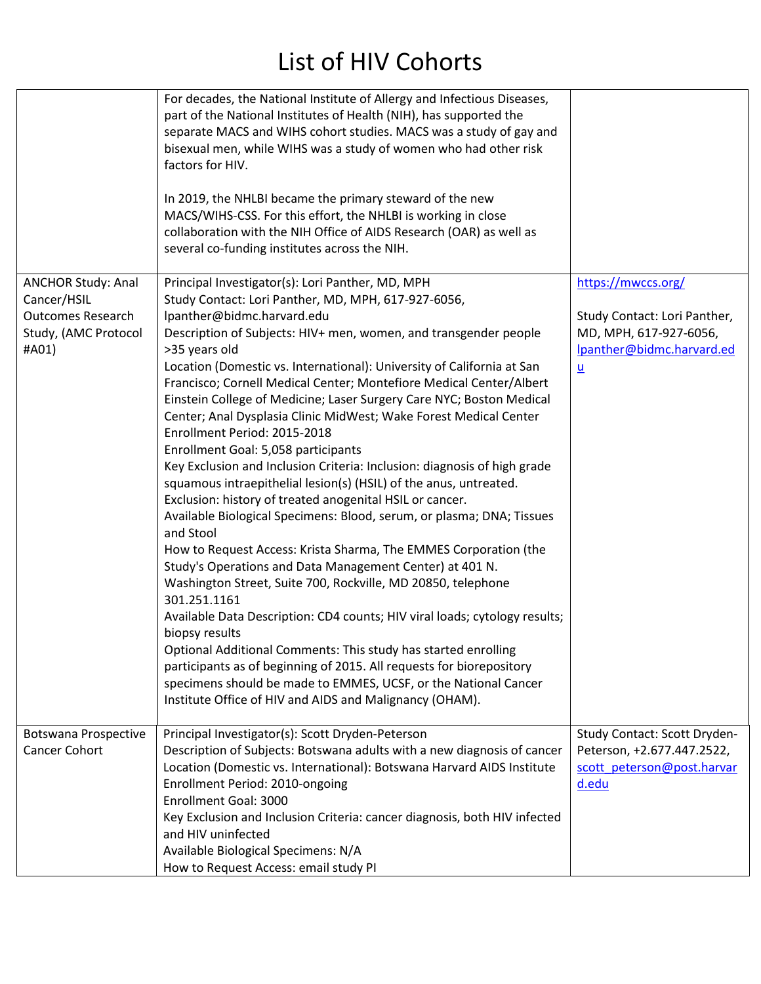|                                                                          | For decades, the National Institute of Allergy and Infectious Diseases,<br>part of the National Institutes of Health (NIH), has supported the<br>separate MACS and WIHS cohort studies. MACS was a study of gay and<br>bisexual men, while WIHS was a study of women who had other risk<br>factors for HIV.<br>In 2019, the NHLBI became the primary steward of the new<br>MACS/WIHS-CSS. For this effort, the NHLBI is working in close<br>collaboration with the NIH Office of AIDS Research (OAR) as well as<br>several co-funding institutes across the NIH.                                                                                                                                                                                                                                                                                                                                                                                                                                                                                                                                                                                                                                                                                             |                                                                                     |
|--------------------------------------------------------------------------|--------------------------------------------------------------------------------------------------------------------------------------------------------------------------------------------------------------------------------------------------------------------------------------------------------------------------------------------------------------------------------------------------------------------------------------------------------------------------------------------------------------------------------------------------------------------------------------------------------------------------------------------------------------------------------------------------------------------------------------------------------------------------------------------------------------------------------------------------------------------------------------------------------------------------------------------------------------------------------------------------------------------------------------------------------------------------------------------------------------------------------------------------------------------------------------------------------------------------------------------------------------|-------------------------------------------------------------------------------------|
| Cancer/HSIL<br><b>Outcomes Research</b><br>Study, (AMC Protocol<br>#A01) | Study Contact: Lori Panther, MD, MPH, 617-927-6056,<br>lpanther@bidmc.harvard.edu<br>Description of Subjects: HIV+ men, women, and transgender people<br>>35 years old                                                                                                                                                                                                                                                                                                                                                                                                                                                                                                                                                                                                                                                                                                                                                                                                                                                                                                                                                                                                                                                                                       | Study Contact: Lori Panther,<br>MD, MPH, 617-927-6056,<br>Ipanther@bidmc.harvard.ed |
|                                                                          | Location (Domestic vs. International): University of California at San<br>Francisco; Cornell Medical Center; Montefiore Medical Center/Albert<br>Einstein College of Medicine; Laser Surgery Care NYC; Boston Medical<br>Center; Anal Dysplasia Clinic MidWest; Wake Forest Medical Center<br>Enrollment Period: 2015-2018<br>Enrollment Goal: 5,058 participants<br>Key Exclusion and Inclusion Criteria: Inclusion: diagnosis of high grade<br>squamous intraepithelial lesion(s) (HSIL) of the anus, untreated.<br>Exclusion: history of treated anogenital HSIL or cancer.<br>Available Biological Specimens: Blood, serum, or plasma; DNA; Tissues<br>and Stool<br>How to Request Access: Krista Sharma, The EMMES Corporation (the<br>Study's Operations and Data Management Center) at 401 N.<br>Washington Street, Suite 700, Rockville, MD 20850, telephone<br>301.251.1161<br>Available Data Description: CD4 counts; HIV viral loads; cytology results;<br>biopsy results<br>Optional Additional Comments: This study has started enrolling<br>participants as of beginning of 2015. All requests for biorepository<br>specimens should be made to EMMES, UCSF, or the National Cancer<br>Institute Office of HIV and AIDS and Malignancy (OHAM). | $\underline{\mathsf{u}}$                                                            |
| Botswana Prospective                                                     | Principal Investigator(s): Scott Dryden-Peterson                                                                                                                                                                                                                                                                                                                                                                                                                                                                                                                                                                                                                                                                                                                                                                                                                                                                                                                                                                                                                                                                                                                                                                                                             | Study Contact: Scott Dryden-                                                        |
| Cancer Cohort                                                            | Description of Subjects: Botswana adults with a new diagnosis of cancer<br>Location (Domestic vs. International): Botswana Harvard AIDS Institute<br>Enrollment Period: 2010-ongoing<br>Enrollment Goal: 3000<br>Key Exclusion and Inclusion Criteria: cancer diagnosis, both HIV infected<br>and HIV uninfected<br>Available Biological Specimens: N/A                                                                                                                                                                                                                                                                                                                                                                                                                                                                                                                                                                                                                                                                                                                                                                                                                                                                                                      | Peterson, +2.677.447.2522,<br>scott peterson@post.harvar<br>d.edu                   |
|                                                                          | How to Request Access: email study PI                                                                                                                                                                                                                                                                                                                                                                                                                                                                                                                                                                                                                                                                                                                                                                                                                                                                                                                                                                                                                                                                                                                                                                                                                        |                                                                                     |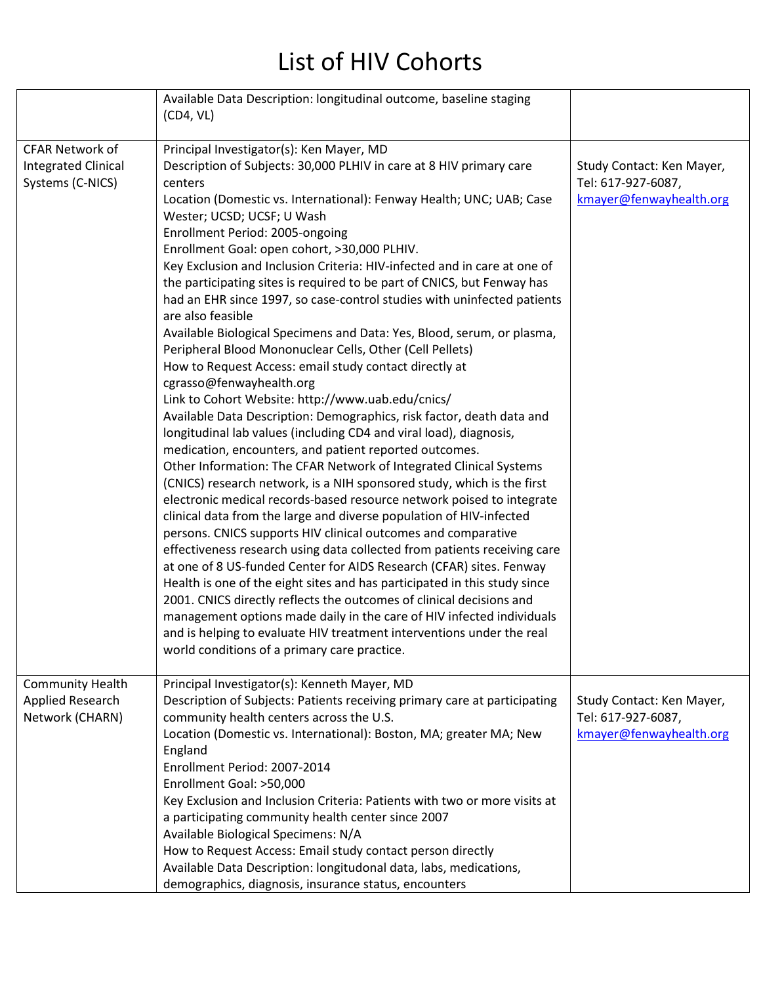|                                                                          | Available Data Description: longitudinal outcome, baseline staging<br>(CD4, VL)                                                                                                                                                                                                                                                                                                                                                                                                                                                                                                                                                                                                                                                                                                                                                                                                                                                                                                                                                                                                                                                                                                                                                                                                                                                                                                                                                                                                                                                                                                                                                                                                                                                                                                                                                                                                                                                                 |                                                                            |
|--------------------------------------------------------------------------|-------------------------------------------------------------------------------------------------------------------------------------------------------------------------------------------------------------------------------------------------------------------------------------------------------------------------------------------------------------------------------------------------------------------------------------------------------------------------------------------------------------------------------------------------------------------------------------------------------------------------------------------------------------------------------------------------------------------------------------------------------------------------------------------------------------------------------------------------------------------------------------------------------------------------------------------------------------------------------------------------------------------------------------------------------------------------------------------------------------------------------------------------------------------------------------------------------------------------------------------------------------------------------------------------------------------------------------------------------------------------------------------------------------------------------------------------------------------------------------------------------------------------------------------------------------------------------------------------------------------------------------------------------------------------------------------------------------------------------------------------------------------------------------------------------------------------------------------------------------------------------------------------------------------------------------------------|----------------------------------------------------------------------------|
| <b>CFAR Network of</b><br><b>Integrated Clinical</b><br>Systems (C-NICS) | Principal Investigator(s): Ken Mayer, MD<br>Description of Subjects: 30,000 PLHIV in care at 8 HIV primary care<br>centers<br>Location (Domestic vs. International): Fenway Health; UNC; UAB; Case<br>Wester; UCSD; UCSF; U Wash<br>Enrollment Period: 2005-ongoing<br>Enrollment Goal: open cohort, >30,000 PLHIV.<br>Key Exclusion and Inclusion Criteria: HIV-infected and in care at one of<br>the participating sites is required to be part of CNICS, but Fenway has<br>had an EHR since 1997, so case-control studies with uninfected patients<br>are also feasible<br>Available Biological Specimens and Data: Yes, Blood, serum, or plasma,<br>Peripheral Blood Mononuclear Cells, Other (Cell Pellets)<br>How to Request Access: email study contact directly at<br>cgrasso@fenwayhealth.org<br>Link to Cohort Website: http://www.uab.edu/cnics/<br>Available Data Description: Demographics, risk factor, death data and<br>longitudinal lab values (including CD4 and viral load), diagnosis,<br>medication, encounters, and patient reported outcomes.<br>Other Information: The CFAR Network of Integrated Clinical Systems<br>(CNICS) research network, is a NIH sponsored study, which is the first<br>electronic medical records-based resource network poised to integrate<br>clinical data from the large and diverse population of HIV-infected<br>persons. CNICS supports HIV clinical outcomes and comparative<br>effectiveness research using data collected from patients receiving care<br>at one of 8 US-funded Center for AIDS Research (CFAR) sites. Fenway<br>Health is one of the eight sites and has participated in this study since<br>2001. CNICS directly reflects the outcomes of clinical decisions and<br>management options made daily in the care of HIV infected individuals<br>and is helping to evaluate HIV treatment interventions under the real<br>world conditions of a primary care practice. | Study Contact: Ken Mayer,<br>Tel: 617-927-6087,<br>kmayer@fenwayhealth.org |
| <b>Community Health</b><br>Applied Research<br>Network (CHARN)           | Principal Investigator(s): Kenneth Mayer, MD<br>Description of Subjects: Patients receiving primary care at participating<br>community health centers across the U.S.<br>Location (Domestic vs. International): Boston, MA; greater MA; New<br>England<br>Enrollment Period: 2007-2014<br>Enrollment Goal: >50,000<br>Key Exclusion and Inclusion Criteria: Patients with two or more visits at<br>a participating community health center since 2007<br>Available Biological Specimens: N/A<br>How to Request Access: Email study contact person directly<br>Available Data Description: longitudonal data, labs, medications,<br>demographics, diagnosis, insurance status, encounters                                                                                                                                                                                                                                                                                                                                                                                                                                                                                                                                                                                                                                                                                                                                                                                                                                                                                                                                                                                                                                                                                                                                                                                                                                                        | Study Contact: Ken Mayer,<br>Tel: 617-927-6087,<br>kmayer@fenwayhealth.org |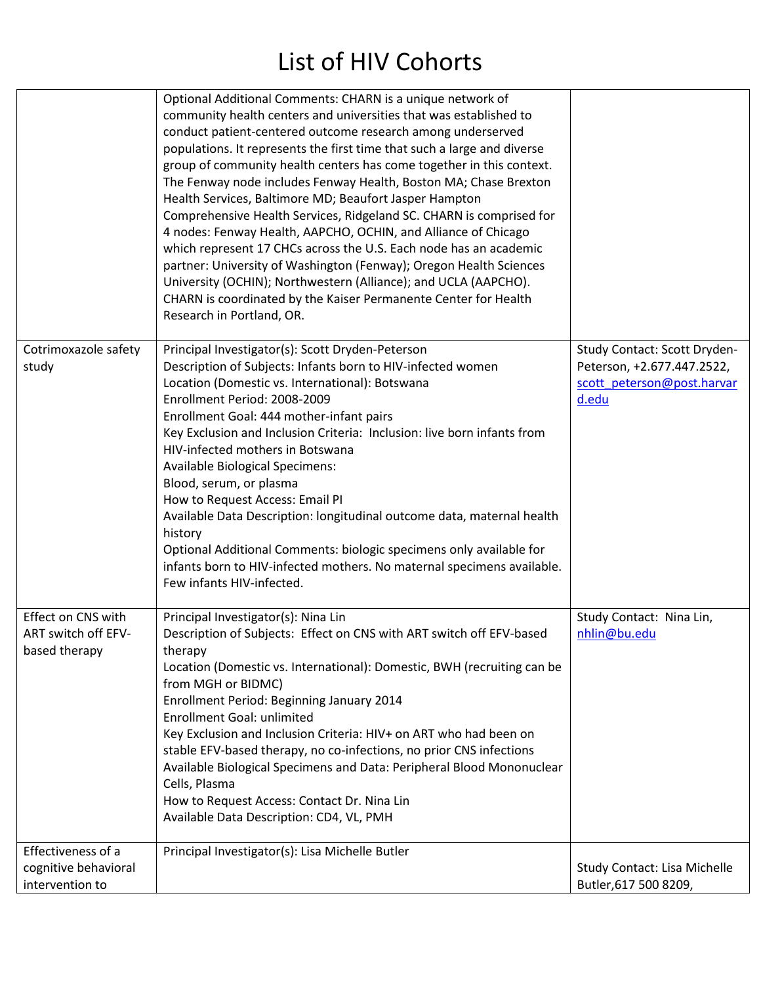|                                                               | Optional Additional Comments: CHARN is a unique network of<br>community health centers and universities that was established to<br>conduct patient-centered outcome research among underserved<br>populations. It represents the first time that such a large and diverse<br>group of community health centers has come together in this context.<br>The Fenway node includes Fenway Health, Boston MA; Chase Brexton<br>Health Services, Baltimore MD; Beaufort Jasper Hampton<br>Comprehensive Health Services, Ridgeland SC. CHARN is comprised for<br>4 nodes: Fenway Health, AAPCHO, OCHIN, and Alliance of Chicago<br>which represent 17 CHCs across the U.S. Each node has an academic<br>partner: University of Washington (Fenway); Oregon Health Sciences<br>University (OCHIN); Northwestern (Alliance); and UCLA (AAPCHO).<br>CHARN is coordinated by the Kaiser Permanente Center for Health<br>Research in Portland, OR. |                                                                                                   |
|---------------------------------------------------------------|----------------------------------------------------------------------------------------------------------------------------------------------------------------------------------------------------------------------------------------------------------------------------------------------------------------------------------------------------------------------------------------------------------------------------------------------------------------------------------------------------------------------------------------------------------------------------------------------------------------------------------------------------------------------------------------------------------------------------------------------------------------------------------------------------------------------------------------------------------------------------------------------------------------------------------------|---------------------------------------------------------------------------------------------------|
| Cotrimoxazole safety<br>study                                 | Principal Investigator(s): Scott Dryden-Peterson<br>Description of Subjects: Infants born to HIV-infected women<br>Location (Domestic vs. International): Botswana<br>Enrollment Period: 2008-2009<br>Enrollment Goal: 444 mother-infant pairs<br>Key Exclusion and Inclusion Criteria: Inclusion: live born infants from<br>HIV-infected mothers in Botswana<br><b>Available Biological Specimens:</b><br>Blood, serum, or plasma<br>How to Request Access: Email PI<br>Available Data Description: longitudinal outcome data, maternal health<br>history<br>Optional Additional Comments: biologic specimens only available for<br>infants born to HIV-infected mothers. No maternal specimens available.<br>Few infants HIV-infected.                                                                                                                                                                                               | Study Contact: Scott Dryden-<br>Peterson, +2.677.447.2522,<br>scott peterson@post.harvar<br>d.edu |
| Effect on CNS with<br>ART switch off EFV-<br>based therapy    | Principal Investigator(s): Nina Lin<br>Description of Subjects: Effect on CNS with ART switch off EFV-based<br>therapy<br>Location (Domestic vs. International): Domestic, BWH (recruiting can be<br>from MGH or BIDMC)<br>Enrollment Period: Beginning January 2014<br><b>Enrollment Goal: unlimited</b><br>Key Exclusion and Inclusion Criteria: HIV+ on ART who had been on<br>stable EFV-based therapy, no co-infections, no prior CNS infections<br>Available Biological Specimens and Data: Peripheral Blood Mononuclear<br>Cells, Plasma<br>How to Request Access: Contact Dr. Nina Lin<br>Available Data Description: CD4, VL, PMH                                                                                                                                                                                                                                                                                             | Study Contact: Nina Lin,<br>nhlin@bu.edu                                                          |
| Effectiveness of a<br>cognitive behavioral<br>intervention to | Principal Investigator(s): Lisa Michelle Butler                                                                                                                                                                                                                                                                                                                                                                                                                                                                                                                                                                                                                                                                                                                                                                                                                                                                                        | Study Contact: Lisa Michelle<br>Butler, 617 500 8209,                                             |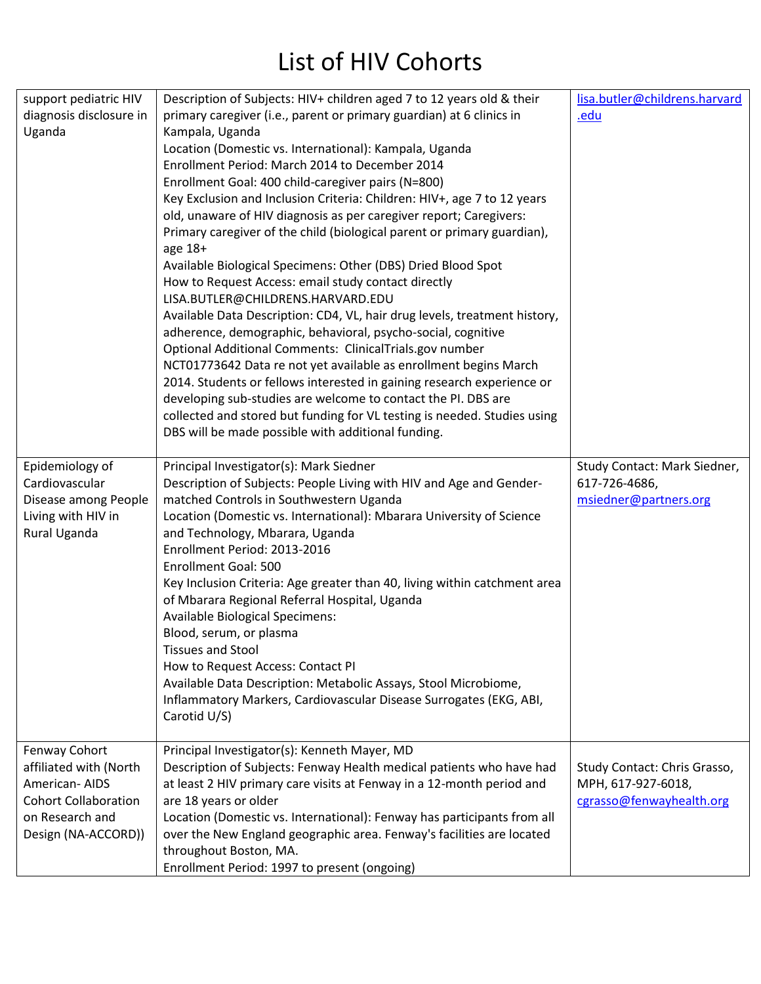| support pediatric HIV       | Description of Subjects: HIV+ children aged 7 to 12 years old & their                                                                         | lisa.butler@childrens.harvard |
|-----------------------------|-----------------------------------------------------------------------------------------------------------------------------------------------|-------------------------------|
| diagnosis disclosure in     | primary caregiver (i.e., parent or primary guardian) at 6 clinics in                                                                          | .edu                          |
| Uganda                      | Kampala, Uganda                                                                                                                               |                               |
|                             | Location (Domestic vs. International): Kampala, Uganda                                                                                        |                               |
|                             | Enrollment Period: March 2014 to December 2014                                                                                                |                               |
|                             | Enrollment Goal: 400 child-caregiver pairs (N=800)                                                                                            |                               |
|                             | Key Exclusion and Inclusion Criteria: Children: HIV+, age 7 to 12 years                                                                       |                               |
|                             | old, unaware of HIV diagnosis as per caregiver report; Caregivers:<br>Primary caregiver of the child (biological parent or primary guardian), |                               |
|                             | age 18+                                                                                                                                       |                               |
|                             | Available Biological Specimens: Other (DBS) Dried Blood Spot                                                                                  |                               |
|                             | How to Request Access: email study contact directly                                                                                           |                               |
|                             | LISA.BUTLER@CHILDRENS.HARVARD.EDU                                                                                                             |                               |
|                             | Available Data Description: CD4, VL, hair drug levels, treatment history,                                                                     |                               |
|                             | adherence, demographic, behavioral, psycho-social, cognitive                                                                                  |                               |
|                             | Optional Additional Comments: ClinicalTrials.gov number                                                                                       |                               |
|                             | NCT01773642 Data re not yet available as enrollment begins March                                                                              |                               |
|                             | 2014. Students or fellows interested in gaining research experience or                                                                        |                               |
|                             | developing sub-studies are welcome to contact the PI. DBS are                                                                                 |                               |
|                             | collected and stored but funding for VL testing is needed. Studies using                                                                      |                               |
|                             | DBS will be made possible with additional funding.                                                                                            |                               |
| Epidemiology of             | Principal Investigator(s): Mark Siedner                                                                                                       | Study Contact: Mark Siedner,  |
| Cardiovascular              | Description of Subjects: People Living with HIV and Age and Gender-                                                                           | 617-726-4686,                 |
| Disease among People        | matched Controls in Southwestern Uganda                                                                                                       | msiedner@partners.org         |
| Living with HIV in          | Location (Domestic vs. International): Mbarara University of Science                                                                          |                               |
| Rural Uganda                | and Technology, Mbarara, Uganda                                                                                                               |                               |
|                             | Enrollment Period: 2013-2016                                                                                                                  |                               |
|                             | <b>Enrollment Goal: 500</b>                                                                                                                   |                               |
|                             | Key Inclusion Criteria: Age greater than 40, living within catchment area                                                                     |                               |
|                             | of Mbarara Regional Referral Hospital, Uganda                                                                                                 |                               |
|                             | <b>Available Biological Specimens:</b>                                                                                                        |                               |
|                             | Blood, serum, or plasma                                                                                                                       |                               |
|                             | Tissues and Stool                                                                                                                             |                               |
|                             | How to Request Access: Contact PI                                                                                                             |                               |
|                             | Available Data Description: Metabolic Assays, Stool Microbiome,                                                                               |                               |
|                             | Inflammatory Markers, Cardiovascular Disease Surrogates (EKG, ABI,<br>Carotid U/S)                                                            |                               |
|                             |                                                                                                                                               |                               |
| Fenway Cohort               | Principal Investigator(s): Kenneth Mayer, MD                                                                                                  |                               |
| affiliated with (North      | Description of Subjects: Fenway Health medical patients who have had                                                                          | Study Contact: Chris Grasso,  |
| American-AIDS               | at least 2 HIV primary care visits at Fenway in a 12-month period and                                                                         | MPH, 617-927-6018,            |
| <b>Cohort Collaboration</b> | are 18 years or older                                                                                                                         | cgrasso@fenwayhealth.org      |
| on Research and             | Location (Domestic vs. International): Fenway has participants from all                                                                       |                               |
| Design (NA-ACCORD))         | over the New England geographic area. Fenway's facilities are located                                                                         |                               |
|                             | throughout Boston, MA.                                                                                                                        |                               |
|                             | Enrollment Period: 1997 to present (ongoing)                                                                                                  |                               |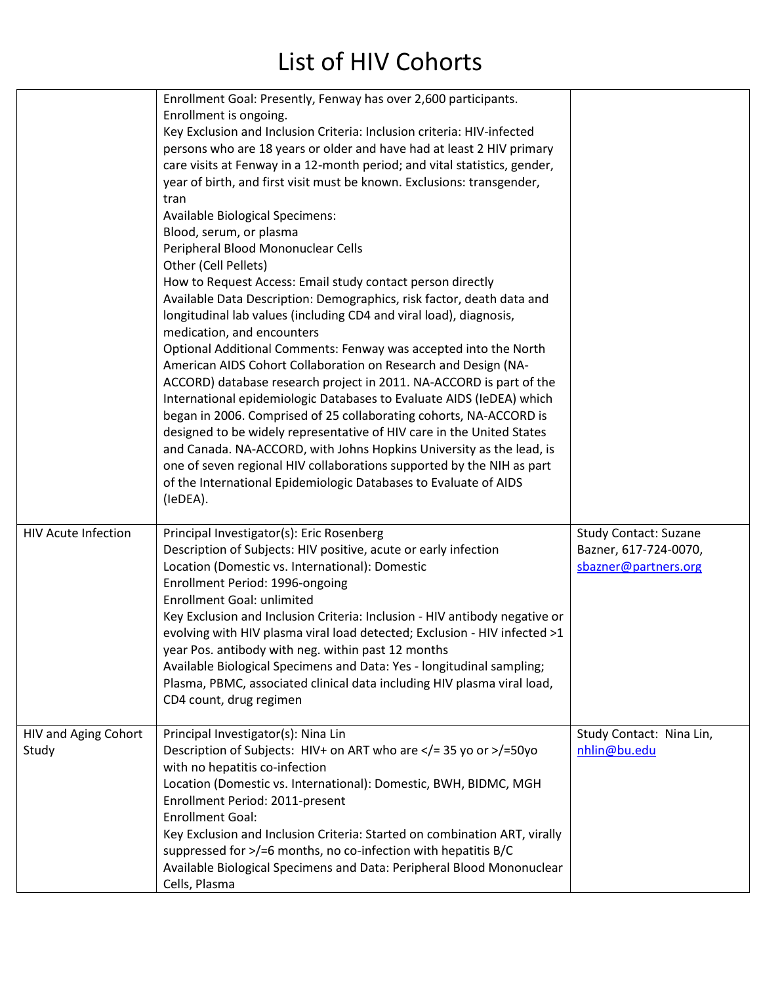|                               | Enrollment Goal: Presently, Fenway has over 2,600 participants.<br>Enrollment is ongoing.<br>Key Exclusion and Inclusion Criteria: Inclusion criteria: HIV-infected<br>persons who are 18 years or older and have had at least 2 HIV primary<br>care visits at Fenway in a 12-month period; and vital statistics, gender,<br>year of birth, and first visit must be known. Exclusions: transgender,<br>tran<br>Available Biological Specimens:<br>Blood, serum, or plasma<br>Peripheral Blood Mononuclear Cells<br>Other (Cell Pellets)<br>How to Request Access: Email study contact person directly<br>Available Data Description: Demographics, risk factor, death data and<br>longitudinal lab values (including CD4 and viral load), diagnosis,<br>medication, and encounters<br>Optional Additional Comments: Fenway was accepted into the North<br>American AIDS Cohort Collaboration on Research and Design (NA-<br>ACCORD) database research project in 2011. NA-ACCORD is part of the<br>International epidemiologic Databases to Evaluate AIDS (IeDEA) which<br>began in 2006. Comprised of 25 collaborating cohorts, NA-ACCORD is<br>designed to be widely representative of HIV care in the United States<br>and Canada. NA-ACCORD, with Johns Hopkins University as the lead, is<br>one of seven regional HIV collaborations supported by the NIH as part<br>of the International Epidemiologic Databases to Evaluate of AIDS<br>(IeDEA). |                                                                               |
|-------------------------------|---------------------------------------------------------------------------------------------------------------------------------------------------------------------------------------------------------------------------------------------------------------------------------------------------------------------------------------------------------------------------------------------------------------------------------------------------------------------------------------------------------------------------------------------------------------------------------------------------------------------------------------------------------------------------------------------------------------------------------------------------------------------------------------------------------------------------------------------------------------------------------------------------------------------------------------------------------------------------------------------------------------------------------------------------------------------------------------------------------------------------------------------------------------------------------------------------------------------------------------------------------------------------------------------------------------------------------------------------------------------------------------------------------------------------------------------------------|-------------------------------------------------------------------------------|
| <b>HIV Acute Infection</b>    | Principal Investigator(s): Eric Rosenberg<br>Description of Subjects: HIV positive, acute or early infection<br>Location (Domestic vs. International): Domestic<br>Enrollment Period: 1996-ongoing<br>Enrollment Goal: unlimited<br>Key Exclusion and Inclusion Criteria: Inclusion - HIV antibody negative or<br>evolving with HIV plasma viral load detected; Exclusion - HIV infected >1<br>year Pos. antibody with neg. within past 12 months<br>Available Biological Specimens and Data: Yes - longitudinal sampling;<br>Plasma, PBMC, associated clinical data including HIV plasma viral load,<br>CD4 count, drug regimen                                                                                                                                                                                                                                                                                                                                                                                                                                                                                                                                                                                                                                                                                                                                                                                                                        | <b>Study Contact: Suzane</b><br>Bazner, 617-724-0070,<br>sbazner@partners.org |
| HIV and Aging Cohort<br>Study | Principal Investigator(s): Nina Lin<br>Description of Subjects: HIV+ on ART who are = 35 yo or /=50yo<br>with no hepatitis co-infection<br>Location (Domestic vs. International): Domestic, BWH, BIDMC, MGH<br>Enrollment Period: 2011-present<br><b>Enrollment Goal:</b><br>Key Exclusion and Inclusion Criteria: Started on combination ART, virally<br>suppressed for >/=6 months, no co-infection with hepatitis B/C<br>Available Biological Specimens and Data: Peripheral Blood Mononuclear<br>Cells, Plasma                                                                                                                                                                                                                                                                                                                                                                                                                                                                                                                                                                                                                                                                                                                                                                                                                                                                                                                                      | Study Contact: Nina Lin,<br>nhlin@bu.edu                                      |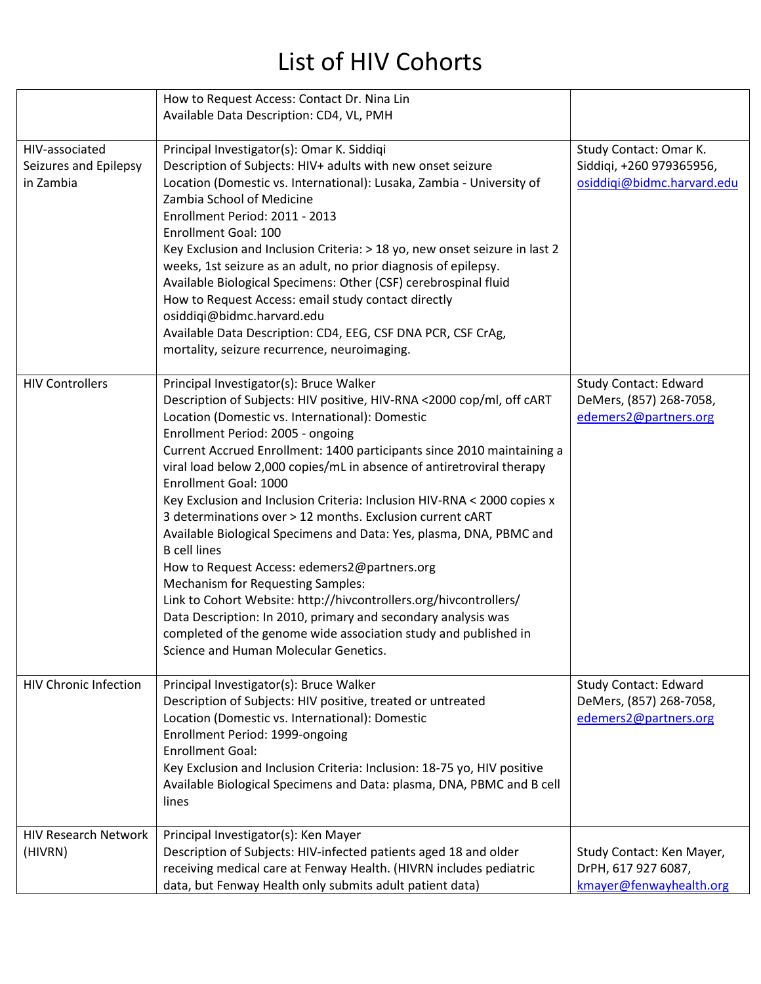|                                                      | How to Request Access: Contact Dr. Nina Lin<br>Available Data Description: CD4, VL, PMH                                                                                                                                                                                                                                                                                                                                                                                                                                                                                                                                                                                                                                                                                                                                                                                                                                                                                  |                                                                                  |
|------------------------------------------------------|--------------------------------------------------------------------------------------------------------------------------------------------------------------------------------------------------------------------------------------------------------------------------------------------------------------------------------------------------------------------------------------------------------------------------------------------------------------------------------------------------------------------------------------------------------------------------------------------------------------------------------------------------------------------------------------------------------------------------------------------------------------------------------------------------------------------------------------------------------------------------------------------------------------------------------------------------------------------------|----------------------------------------------------------------------------------|
| HIV-associated<br>Seizures and Epilepsy<br>in Zambia | Principal Investigator(s): Omar K. Siddiqi<br>Description of Subjects: HIV+ adults with new onset seizure<br>Location (Domestic vs. International): Lusaka, Zambia - University of<br>Zambia School of Medicine<br>Enrollment Period: 2011 - 2013<br>Enrollment Goal: 100<br>Key Exclusion and Inclusion Criteria: > 18 yo, new onset seizure in last 2<br>weeks, 1st seizure as an adult, no prior diagnosis of epilepsy.<br>Available Biological Specimens: Other (CSF) cerebrospinal fluid<br>How to Request Access: email study contact directly<br>osiddiqi@bidmc.harvard.edu<br>Available Data Description: CD4, EEG, CSF DNA PCR, CSF CrAg,<br>mortality, seizure recurrence, neuroimaging.                                                                                                                                                                                                                                                                       | Study Contact: Omar K.<br>Siddiqi, +260 979365956,<br>osiddiqi@bidmc.harvard.edu |
| <b>HIV Controllers</b>                               | Principal Investigator(s): Bruce Walker<br>Description of Subjects: HIV positive, HIV-RNA <2000 cop/ml, off cART<br>Location (Domestic vs. International): Domestic<br>Enrollment Period: 2005 - ongoing<br>Current Accrued Enrollment: 1400 participants since 2010 maintaining a<br>viral load below 2,000 copies/mL in absence of antiretroviral therapy<br>Enrollment Goal: 1000<br>Key Exclusion and Inclusion Criteria: Inclusion HIV-RNA < 2000 copies x<br>3 determinations over > 12 months. Exclusion current cART<br>Available Biological Specimens and Data: Yes, plasma, DNA, PBMC and<br><b>B</b> cell lines<br>How to Request Access: edemers2@partners.org<br><b>Mechanism for Requesting Samples:</b><br>Link to Cohort Website: http://hivcontrollers.org/hivcontrollers/<br>Data Description: In 2010, primary and secondary analysis was<br>completed of the genome wide association study and published in<br>Science and Human Molecular Genetics. | Study Contact: Edward<br>DeMers, (857) 268-7058,<br>edemers2@partners.org        |
| <b>HIV Chronic Infection</b>                         | Principal Investigator(s): Bruce Walker<br>Description of Subjects: HIV positive, treated or untreated<br>Location (Domestic vs. International): Domestic<br>Enrollment Period: 1999-ongoing<br><b>Enrollment Goal:</b><br>Key Exclusion and Inclusion Criteria: Inclusion: 18-75 yo, HIV positive<br>Available Biological Specimens and Data: plasma, DNA, PBMC and B cell<br>lines                                                                                                                                                                                                                                                                                                                                                                                                                                                                                                                                                                                     | <b>Study Contact: Edward</b><br>DeMers, (857) 268-7058,<br>edemers2@partners.org |
| <b>HIV Research Network</b><br>(HIVRN)               | Principal Investigator(s): Ken Mayer<br>Description of Subjects: HIV-infected patients aged 18 and older<br>receiving medical care at Fenway Health. (HIVRN includes pediatric<br>data, but Fenway Health only submits adult patient data)                                                                                                                                                                                                                                                                                                                                                                                                                                                                                                                                                                                                                                                                                                                               | Study Contact: Ken Mayer,<br>DrPH, 617 927 6087,<br>kmayer@fenwayhealth.org      |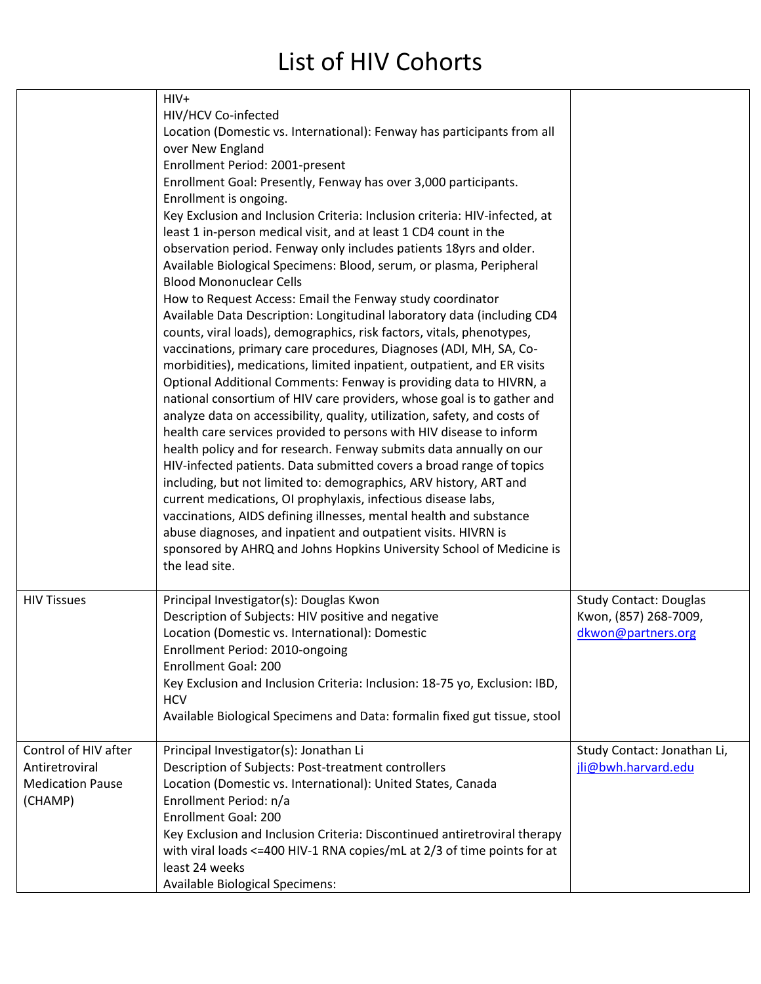|                         | HIV+                                                                                   |                               |
|-------------------------|----------------------------------------------------------------------------------------|-------------------------------|
|                         | HIV/HCV Co-infected                                                                    |                               |
|                         | Location (Domestic vs. International): Fenway has participants from all                |                               |
|                         | over New England                                                                       |                               |
|                         | Enrollment Period: 2001-present                                                        |                               |
|                         | Enrollment Goal: Presently, Fenway has over 3,000 participants.                        |                               |
|                         | Enrollment is ongoing.                                                                 |                               |
|                         | Key Exclusion and Inclusion Criteria: Inclusion criteria: HIV-infected, at             |                               |
|                         | least 1 in-person medical visit, and at least 1 CD4 count in the                       |                               |
|                         | observation period. Fenway only includes patients 18yrs and older.                     |                               |
|                         | Available Biological Specimens: Blood, serum, or plasma, Peripheral                    |                               |
|                         | <b>Blood Mononuclear Cells</b>                                                         |                               |
|                         | How to Request Access: Email the Fenway study coordinator                              |                               |
|                         | Available Data Description: Longitudinal laboratory data (including CD4                |                               |
|                         | counts, viral loads), demographics, risk factors, vitals, phenotypes,                  |                               |
|                         | vaccinations, primary care procedures, Diagnoses (ADI, MH, SA, Co-                     |                               |
|                         | morbidities), medications, limited inpatient, outpatient, and ER visits                |                               |
|                         | Optional Additional Comments: Fenway is providing data to HIVRN, a                     |                               |
|                         | national consortium of HIV care providers, whose goal is to gather and                 |                               |
|                         | analyze data on accessibility, quality, utilization, safety, and costs of              |                               |
|                         | health care services provided to persons with HIV disease to inform                    |                               |
|                         | health policy and for research. Fenway submits data annually on our                    |                               |
|                         | HIV-infected patients. Data submitted covers a broad range of topics                   |                               |
|                         | including, but not limited to: demographics, ARV history, ART and                      |                               |
|                         | current medications, OI prophylaxis, infectious disease labs,                          |                               |
|                         |                                                                                        |                               |
|                         | vaccinations, AIDS defining illnesses, mental health and substance                     |                               |
|                         | abuse diagnoses, and inpatient and outpatient visits. HIVRN is                         |                               |
|                         | sponsored by AHRQ and Johns Hopkins University School of Medicine is<br>the lead site. |                               |
|                         |                                                                                        |                               |
| <b>HIV Tissues</b>      | Principal Investigator(s): Douglas Kwon                                                | <b>Study Contact: Douglas</b> |
|                         | Description of Subjects: HIV positive and negative                                     | Kwon, (857) 268-7009,         |
|                         | Location (Domestic vs. International): Domestic                                        | dkwon@partners.org            |
|                         | Enrollment Period: 2010-ongoing                                                        |                               |
|                         | <b>Enrollment Goal: 200</b>                                                            |                               |
|                         | Key Exclusion and Inclusion Criteria: Inclusion: 18-75 yo, Exclusion: IBD,             |                               |
|                         | <b>HCV</b>                                                                             |                               |
|                         | Available Biological Specimens and Data: formalin fixed gut tissue, stool              |                               |
|                         |                                                                                        |                               |
| Control of HIV after    | Principal Investigator(s): Jonathan Li                                                 | Study Contact: Jonathan Li,   |
| Antiretroviral          | Description of Subjects: Post-treatment controllers                                    | jli@bwh.harvard.edu           |
| <b>Medication Pause</b> | Location (Domestic vs. International): United States, Canada                           |                               |
| (CHAMP)                 | Enrollment Period: n/a                                                                 |                               |
|                         | <b>Enrollment Goal: 200</b>                                                            |                               |
|                         | Key Exclusion and Inclusion Criteria: Discontinued antiretroviral therapy              |                               |
|                         | with viral loads <= 400 HIV-1 RNA copies/mL at 2/3 of time points for at               |                               |
|                         | least 24 weeks                                                                         |                               |
|                         | Available Biological Specimens:                                                        |                               |
|                         |                                                                                        |                               |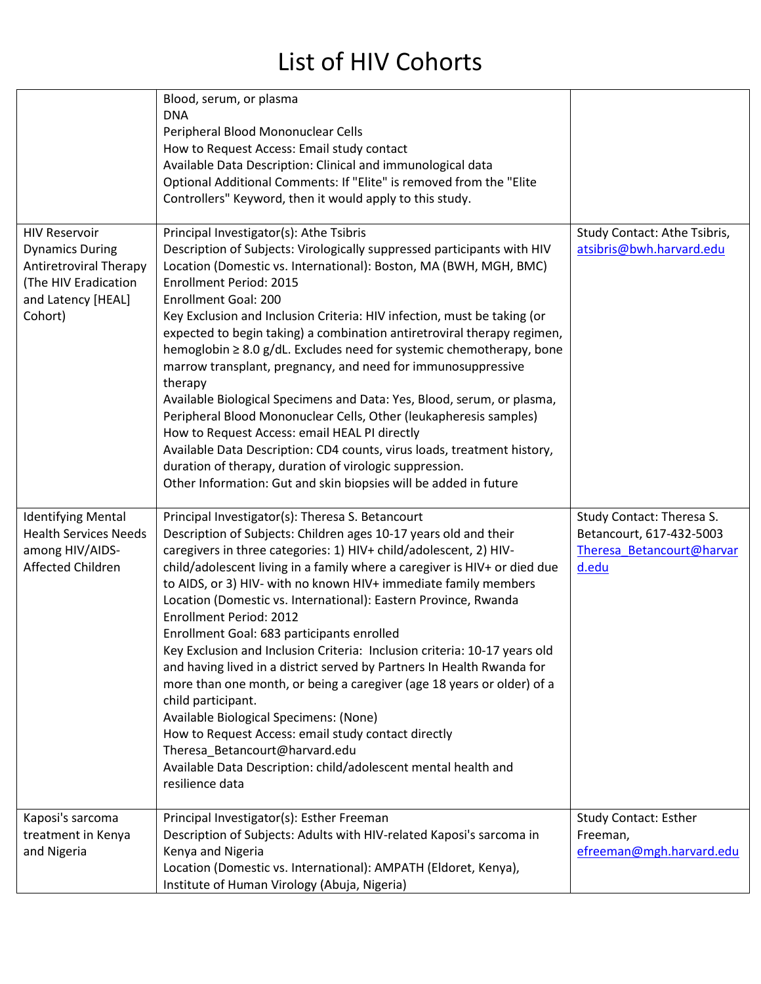|                                                                                                                                          | Blood, serum, or plasma<br><b>DNA</b><br>Peripheral Blood Mononuclear Cells<br>How to Request Access: Email study contact<br>Available Data Description: Clinical and immunological data<br>Optional Additional Comments: If "Elite" is removed from the "Elite<br>Controllers" Keyword, then it would apply to this study.                                                                                                                                                                                                                                                                                                                                                                                                                                                                                                                                                                                                                                                 |                                                                                             |
|------------------------------------------------------------------------------------------------------------------------------------------|-----------------------------------------------------------------------------------------------------------------------------------------------------------------------------------------------------------------------------------------------------------------------------------------------------------------------------------------------------------------------------------------------------------------------------------------------------------------------------------------------------------------------------------------------------------------------------------------------------------------------------------------------------------------------------------------------------------------------------------------------------------------------------------------------------------------------------------------------------------------------------------------------------------------------------------------------------------------------------|---------------------------------------------------------------------------------------------|
| <b>HIV Reservoir</b><br><b>Dynamics During</b><br><b>Antiretroviral Therapy</b><br>(The HIV Eradication<br>and Latency [HEAL]<br>Cohort) | Principal Investigator(s): Athe Tsibris<br>Description of Subjects: Virologically suppressed participants with HIV<br>Location (Domestic vs. International): Boston, MA (BWH, MGH, BMC)<br><b>Enrollment Period: 2015</b><br><b>Enrollment Goal: 200</b><br>Key Exclusion and Inclusion Criteria: HIV infection, must be taking (or<br>expected to begin taking) a combination antiretroviral therapy regimen,<br>hemoglobin ≥ 8.0 g/dL. Excludes need for systemic chemotherapy, bone<br>marrow transplant, pregnancy, and need for immunosuppressive<br>therapy<br>Available Biological Specimens and Data: Yes, Blood, serum, or plasma,<br>Peripheral Blood Mononuclear Cells, Other (leukapheresis samples)<br>How to Request Access: email HEAL PI directly<br>Available Data Description: CD4 counts, virus loads, treatment history,<br>duration of therapy, duration of virologic suppression.<br>Other Information: Gut and skin biopsies will be added in future | Study Contact: Athe Tsibris,<br>atsibris@bwh.harvard.edu                                    |
| <b>Identifying Mental</b><br><b>Health Services Needs</b><br>among HIV/AIDS-<br>Affected Children                                        | Principal Investigator(s): Theresa S. Betancourt<br>Description of Subjects: Children ages 10-17 years old and their<br>caregivers in three categories: 1) HIV+ child/adolescent, 2) HIV-<br>child/adolescent living in a family where a caregiver is HIV+ or died due<br>to AIDS, or 3) HIV- with no known HIV+ immediate family members<br>Location (Domestic vs. International): Eastern Province, Rwanda<br>Enrollment Period: 2012<br>Enrollment Goal: 683 participants enrolled<br>Key Exclusion and Inclusion Criteria: Inclusion criteria: 10-17 years old<br>and having lived in a district served by Partners In Health Rwanda for<br>more than one month, or being a caregiver (age 18 years or older) of a<br>child participant.<br>Available Biological Specimens: (None)<br>How to Request Access: email study contact directly<br>Theresa_Betancourt@harvard.edu<br>Available Data Description: child/adolescent mental health and<br>resilience data        | Study Contact: Theresa S.<br>Betancourt, 617-432-5003<br>Theresa Betancourt@harvar<br>d.edu |
| Kaposi's sarcoma<br>treatment in Kenya<br>and Nigeria                                                                                    | Principal Investigator(s): Esther Freeman<br>Description of Subjects: Adults with HIV-related Kaposi's sarcoma in<br>Kenya and Nigeria<br>Location (Domestic vs. International): AMPATH (Eldoret, Kenya),<br>Institute of Human Virology (Abuja, Nigeria)                                                                                                                                                                                                                                                                                                                                                                                                                                                                                                                                                                                                                                                                                                                   | <b>Study Contact: Esther</b><br>Freeman,<br>efreeman@mgh.harvard.edu                        |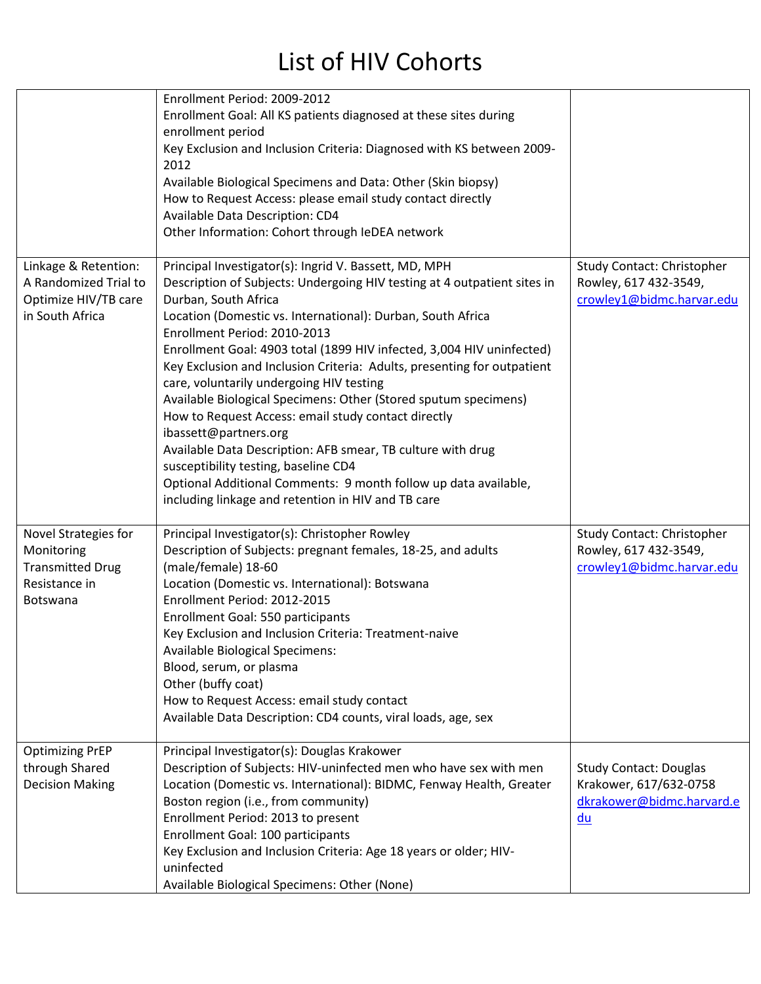|                                                                                            | Enrollment Period: 2009-2012<br>Enrollment Goal: All KS patients diagnosed at these sites during<br>enrollment period<br>Key Exclusion and Inclusion Criteria: Diagnosed with KS between 2009-<br>2012<br>Available Biological Specimens and Data: Other (Skin biopsy)<br>How to Request Access: please email study contact directly<br>Available Data Description: CD4<br>Other Information: Cohort through IeDEA network                                                                                                                                                                                                                                                                                                                                                                                                                  |                                                                                              |
|--------------------------------------------------------------------------------------------|---------------------------------------------------------------------------------------------------------------------------------------------------------------------------------------------------------------------------------------------------------------------------------------------------------------------------------------------------------------------------------------------------------------------------------------------------------------------------------------------------------------------------------------------------------------------------------------------------------------------------------------------------------------------------------------------------------------------------------------------------------------------------------------------------------------------------------------------|----------------------------------------------------------------------------------------------|
| Linkage & Retention:<br>A Randomized Trial to<br>Optimize HIV/TB care<br>in South Africa   | Principal Investigator(s): Ingrid V. Bassett, MD, MPH<br>Description of Subjects: Undergoing HIV testing at 4 outpatient sites in<br>Durban, South Africa<br>Location (Domestic vs. International): Durban, South Africa<br>Enrollment Period: 2010-2013<br>Enrollment Goal: 4903 total (1899 HIV infected, 3,004 HIV uninfected)<br>Key Exclusion and Inclusion Criteria: Adults, presenting for outpatient<br>care, voluntarily undergoing HIV testing<br>Available Biological Specimens: Other (Stored sputum specimens)<br>How to Request Access: email study contact directly<br>ibassett@partners.org<br>Available Data Description: AFB smear, TB culture with drug<br>susceptibility testing, baseline CD4<br>Optional Additional Comments: 9 month follow up data available,<br>including linkage and retention in HIV and TB care | Study Contact: Christopher<br>Rowley, 617 432-3549,<br>crowley1@bidmc.harvar.edu             |
| Novel Strategies for<br>Monitoring<br><b>Transmitted Drug</b><br>Resistance in<br>Botswana | Principal Investigator(s): Christopher Rowley<br>Description of Subjects: pregnant females, 18-25, and adults<br>(male/female) 18-60<br>Location (Domestic vs. International): Botswana<br>Enrollment Period: 2012-2015<br>Enrollment Goal: 550 participants<br>Key Exclusion and Inclusion Criteria: Treatment-naive<br><b>Available Biological Specimens:</b><br>Blood, serum, or plasma<br>Other (buffy coat)<br>How to Request Access: email study contact<br>Available Data Description: CD4 counts, viral loads, age, sex                                                                                                                                                                                                                                                                                                             | <b>Study Contact: Christopher</b><br>Rowley, 617 432-3549,<br>crowley1@bidmc.harvar.edu      |
| <b>Optimizing PrEP</b><br>through Shared<br><b>Decision Making</b>                         | Principal Investigator(s): Douglas Krakower<br>Description of Subjects: HIV-uninfected men who have sex with men<br>Location (Domestic vs. International): BIDMC, Fenway Health, Greater<br>Boston region (i.e., from community)<br>Enrollment Period: 2013 to present<br>Enrollment Goal: 100 participants<br>Key Exclusion and Inclusion Criteria: Age 18 years or older; HIV-<br>uninfected<br>Available Biological Specimens: Other (None)                                                                                                                                                                                                                                                                                                                                                                                              | <b>Study Contact: Douglas</b><br>Krakower, 617/632-0758<br>dkrakower@bidmc.harvard.e<br>$du$ |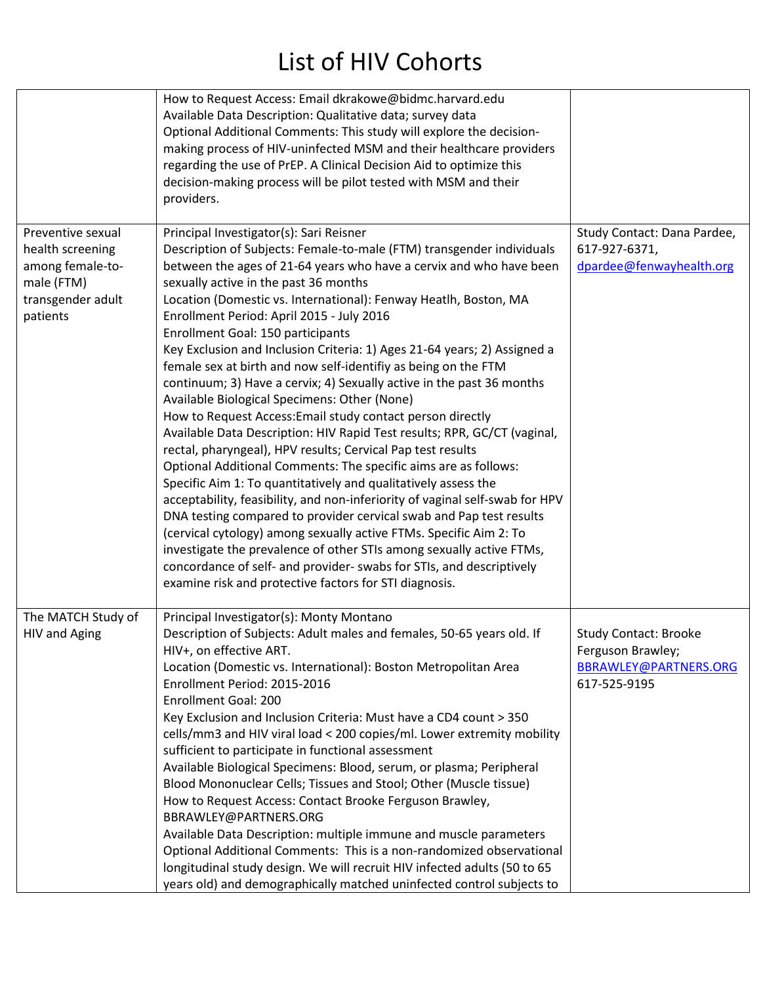|                                                                                                          | How to Request Access: Email dkrakowe@bidmc.harvard.edu<br>Available Data Description: Qualitative data; survey data<br>Optional Additional Comments: This study will explore the decision-<br>making process of HIV-uninfected MSM and their healthcare providers<br>regarding the use of PrEP. A Clinical Decision Aid to optimize this<br>decision-making process will be pilot tested with MSM and their<br>providers.                                                                                                                                                                                                                                                                                                                                                                                                                                                                                                                                                                                                                                                                                                                                                                                                                                                                                                                                                                                                                         |                                                                                            |
|----------------------------------------------------------------------------------------------------------|----------------------------------------------------------------------------------------------------------------------------------------------------------------------------------------------------------------------------------------------------------------------------------------------------------------------------------------------------------------------------------------------------------------------------------------------------------------------------------------------------------------------------------------------------------------------------------------------------------------------------------------------------------------------------------------------------------------------------------------------------------------------------------------------------------------------------------------------------------------------------------------------------------------------------------------------------------------------------------------------------------------------------------------------------------------------------------------------------------------------------------------------------------------------------------------------------------------------------------------------------------------------------------------------------------------------------------------------------------------------------------------------------------------------------------------------------|--------------------------------------------------------------------------------------------|
| Preventive sexual<br>health screening<br>among female-to-<br>male (FTM)<br>transgender adult<br>patients | Principal Investigator(s): Sari Reisner<br>Description of Subjects: Female-to-male (FTM) transgender individuals<br>between the ages of 21-64 years who have a cervix and who have been<br>sexually active in the past 36 months<br>Location (Domestic vs. International): Fenway Heatlh, Boston, MA<br>Enrollment Period: April 2015 - July 2016<br>Enrollment Goal: 150 participants<br>Key Exclusion and Inclusion Criteria: 1) Ages 21-64 years; 2) Assigned a<br>female sex at birth and now self-identifiy as being on the FTM<br>continuum; 3) Have a cervix; 4) Sexually active in the past 36 months<br>Available Biological Specimens: Other (None)<br>How to Request Access: Email study contact person directly<br>Available Data Description: HIV Rapid Test results; RPR, GC/CT (vaginal,<br>rectal, pharyngeal), HPV results; Cervical Pap test results<br>Optional Additional Comments: The specific aims are as follows:<br>Specific Aim 1: To quantitatively and qualitatively assess the<br>acceptability, feasibility, and non-inferiority of vaginal self-swab for HPV<br>DNA testing compared to provider cervical swab and Pap test results<br>(cervical cytology) among sexually active FTMs. Specific Aim 2: To<br>investigate the prevalence of other STIs among sexually active FTMs,<br>concordance of self- and provider- swabs for STIs, and descriptively<br>examine risk and protective factors for STI diagnosis. | Study Contact: Dana Pardee,<br>617-927-6371,<br>dpardee@fenwayhealth.org                   |
| The MATCH Study of<br>HIV and Aging                                                                      | Principal Investigator(s): Monty Montano<br>Description of Subjects: Adult males and females, 50-65 years old. If<br>HIV+, on effective ART.<br>Location (Domestic vs. International): Boston Metropolitan Area<br>Enrollment Period: 2015-2016<br><b>Enrollment Goal: 200</b><br>Key Exclusion and Inclusion Criteria: Must have a CD4 count > 350<br>cells/mm3 and HIV viral load < 200 copies/ml. Lower extremity mobility<br>sufficient to participate in functional assessment<br>Available Biological Specimens: Blood, serum, or plasma; Peripheral<br>Blood Mononuclear Cells; Tissues and Stool; Other (Muscle tissue)<br>How to Request Access: Contact Brooke Ferguson Brawley,<br>BBRAWLEY@PARTNERS.ORG<br>Available Data Description: multiple immune and muscle parameters<br>Optional Additional Comments: This is a non-randomized observational<br>longitudinal study design. We will recruit HIV infected adults (50 to 65<br>years old) and demographically matched uninfected control subjects to                                                                                                                                                                                                                                                                                                                                                                                                                              | <b>Study Contact: Brooke</b><br>Ferguson Brawley;<br>BBRAWLEY@PARTNERS.ORG<br>617-525-9195 |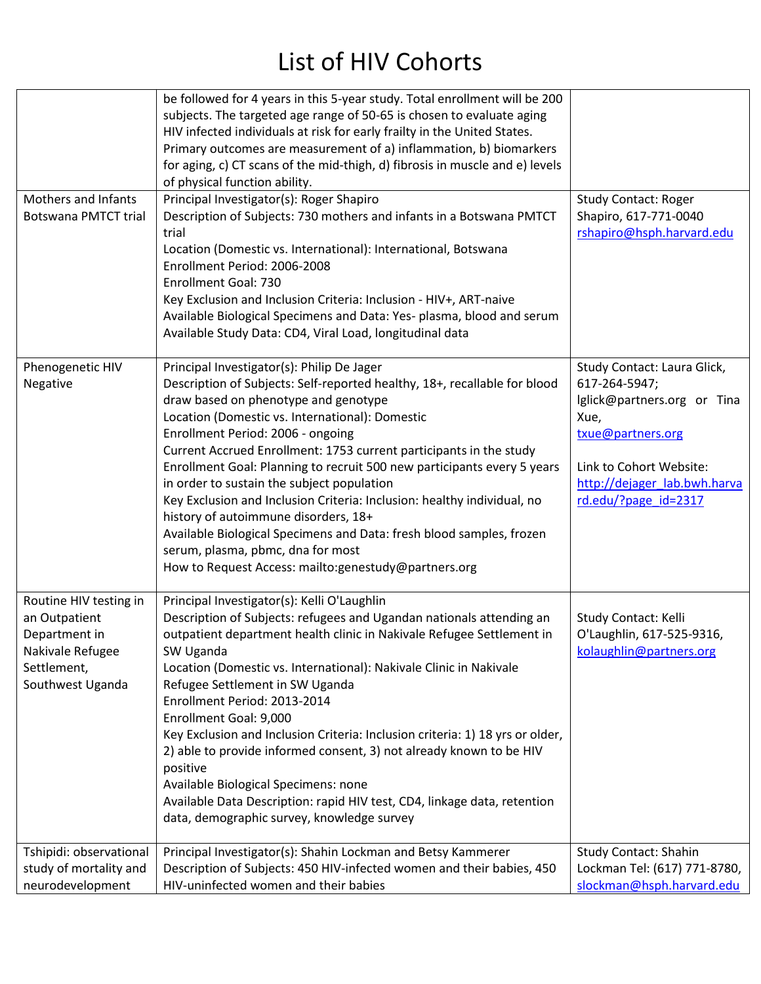| <b>Mothers and Infants</b><br><b>Botswana PMTCT trial</b>                                                       | be followed for 4 years in this 5-year study. Total enrollment will be 200<br>subjects. The targeted age range of 50-65 is chosen to evaluate aging<br>HIV infected individuals at risk for early frailty in the United States.<br>Primary outcomes are measurement of a) inflammation, b) biomarkers<br>for aging, c) CT scans of the mid-thigh, d) fibrosis in muscle and e) levels<br>of physical function ability.<br>Principal Investigator(s): Roger Shapiro<br>Description of Subjects: 730 mothers and infants in a Botswana PMTCT<br>trial<br>Location (Domestic vs. International): International, Botswana<br>Enrollment Period: 2006-2008<br><b>Enrollment Goal: 730</b><br>Key Exclusion and Inclusion Criteria: Inclusion - HIV+, ART-naive<br>Available Biological Specimens and Data: Yes- plasma, blood and serum<br>Available Study Data: CD4, Viral Load, longitudinal data | <b>Study Contact: Roger</b><br>Shapiro, 617-771-0040<br>rshapiro@hsph.harvard.edu                                                                                                           |
|-----------------------------------------------------------------------------------------------------------------|------------------------------------------------------------------------------------------------------------------------------------------------------------------------------------------------------------------------------------------------------------------------------------------------------------------------------------------------------------------------------------------------------------------------------------------------------------------------------------------------------------------------------------------------------------------------------------------------------------------------------------------------------------------------------------------------------------------------------------------------------------------------------------------------------------------------------------------------------------------------------------------------|---------------------------------------------------------------------------------------------------------------------------------------------------------------------------------------------|
| Phenogenetic HIV<br>Negative                                                                                    | Principal Investigator(s): Philip De Jager<br>Description of Subjects: Self-reported healthy, 18+, recallable for blood<br>draw based on phenotype and genotype<br>Location (Domestic vs. International): Domestic<br>Enrollment Period: 2006 - ongoing<br>Current Accrued Enrollment: 1753 current participants in the study<br>Enrollment Goal: Planning to recruit 500 new participants every 5 years<br>in order to sustain the subject population<br>Key Exclusion and Inclusion Criteria: Inclusion: healthy individual, no<br>history of autoimmune disorders, 18+<br>Available Biological Specimens and Data: fresh blood samples, frozen<br>serum, plasma, pbmc, dna for most<br>How to Request Access: mailto:genestudy@partners.org                                                                                                                                                 | Study Contact: Laura Glick,<br>617-264-5947;<br>lglick@partners.org or Tina<br>Xue,<br>txue@partners.org<br>Link to Cohort Website:<br>http://dejager_lab.bwh.harva<br>rd.edu/?page id=2317 |
| Routine HIV testing in<br>an Outpatient<br>Department in<br>Nakivale Refugee<br>Settlement,<br>Southwest Uganda | Principal Investigator(s): Kelli O'Laughlin<br>Description of Subjects: refugees and Ugandan nationals attending an<br>outpatient department health clinic in Nakivale Refugee Settlement in<br>SW Uganda<br>Location (Domestic vs. International): Nakivale Clinic in Nakivale<br>Refugee Settlement in SW Uganda<br>Enrollment Period: 2013-2014<br>Enrollment Goal: 9,000<br>Key Exclusion and Inclusion Criteria: Inclusion criteria: 1) 18 yrs or older,<br>2) able to provide informed consent, 3) not already known to be HIV<br>positive<br>Available Biological Specimens: none<br>Available Data Description: rapid HIV test, CD4, linkage data, retention<br>data, demographic survey, knowledge survey                                                                                                                                                                             | Study Contact: Kelli<br>O'Laughlin, 617-525-9316,<br>kolaughlin@partners.org                                                                                                                |
| Tshipidi: observational<br>study of mortality and<br>neurodevelopment                                           | Principal Investigator(s): Shahin Lockman and Betsy Kammerer<br>Description of Subjects: 450 HIV-infected women and their babies, 450<br>HIV-uninfected women and their babies                                                                                                                                                                                                                                                                                                                                                                                                                                                                                                                                                                                                                                                                                                                 | <b>Study Contact: Shahin</b><br>Lockman Tel: (617) 771-8780,<br>slockman@hsph.harvard.edu                                                                                                   |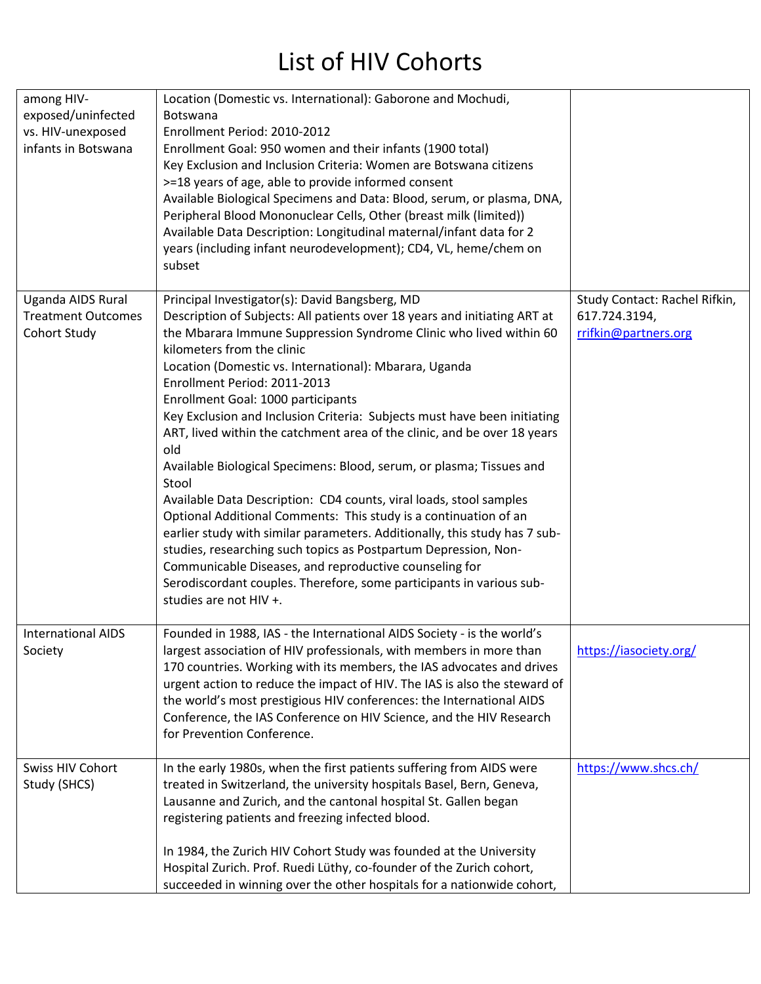| among HIV-<br>exposed/uninfected<br>vs. HIV-unexposed<br>infants in Botswana | Location (Domestic vs. International): Gaborone and Mochudi,<br>Botswana<br>Enrollment Period: 2010-2012<br>Enrollment Goal: 950 women and their infants (1900 total)<br>Key Exclusion and Inclusion Criteria: Women are Botswana citizens<br>>=18 years of age, able to provide informed consent<br>Available Biological Specimens and Data: Blood, serum, or plasma, DNA,<br>Peripheral Blood Mononuclear Cells, Other (breast milk (limited))<br>Available Data Description: Longitudinal maternal/infant data for 2<br>years (including infant neurodevelopment); CD4, VL, heme/chem on<br>subset                                                                                                                                                                                                                                                                                                                                                                                                                                                                  |                                                                        |
|------------------------------------------------------------------------------|------------------------------------------------------------------------------------------------------------------------------------------------------------------------------------------------------------------------------------------------------------------------------------------------------------------------------------------------------------------------------------------------------------------------------------------------------------------------------------------------------------------------------------------------------------------------------------------------------------------------------------------------------------------------------------------------------------------------------------------------------------------------------------------------------------------------------------------------------------------------------------------------------------------------------------------------------------------------------------------------------------------------------------------------------------------------|------------------------------------------------------------------------|
| Uganda AIDS Rural<br><b>Treatment Outcomes</b><br>Cohort Study               | Principal Investigator(s): David Bangsberg, MD<br>Description of Subjects: All patients over 18 years and initiating ART at<br>the Mbarara Immune Suppression Syndrome Clinic who lived within 60<br>kilometers from the clinic<br>Location (Domestic vs. International): Mbarara, Uganda<br>Enrollment Period: 2011-2013<br>Enrollment Goal: 1000 participants<br>Key Exclusion and Inclusion Criteria: Subjects must have been initiating<br>ART, lived within the catchment area of the clinic, and be over 18 years<br>old<br>Available Biological Specimens: Blood, serum, or plasma; Tissues and<br>Stool<br>Available Data Description: CD4 counts, viral loads, stool samples<br>Optional Additional Comments: This study is a continuation of an<br>earlier study with similar parameters. Additionally, this study has 7 sub-<br>studies, researching such topics as Postpartum Depression, Non-<br>Communicable Diseases, and reproductive counseling for<br>Serodiscordant couples. Therefore, some participants in various sub-<br>studies are not HIV +. | Study Contact: Rachel Rifkin,<br>617.724.3194,<br>rrifkin@partners.org |
| <b>International AIDS</b><br>Society                                         | Founded in 1988, IAS - the International AIDS Society - is the world's<br>largest association of HIV professionals, with members in more than<br>170 countries. Working with its members, the IAS advocates and drives<br>urgent action to reduce the impact of HIV. The IAS is also the steward of<br>the world's most prestigious HIV conferences: the International AIDS<br>Conference, the IAS Conference on HIV Science, and the HIV Research<br>for Prevention Conference.                                                                                                                                                                                                                                                                                                                                                                                                                                                                                                                                                                                       | https://iasociety.org/                                                 |
| Swiss HIV Cohort<br>Study (SHCS)                                             | In the early 1980s, when the first patients suffering from AIDS were<br>treated in Switzerland, the university hospitals Basel, Bern, Geneva,<br>Lausanne and Zurich, and the cantonal hospital St. Gallen began<br>registering patients and freezing infected blood.<br>In 1984, the Zurich HIV Cohort Study was founded at the University<br>Hospital Zurich. Prof. Ruedi Lüthy, co-founder of the Zurich cohort,<br>succeeded in winning over the other hospitals for a nationwide cohort,                                                                                                                                                                                                                                                                                                                                                                                                                                                                                                                                                                          | https://www.shcs.ch/                                                   |